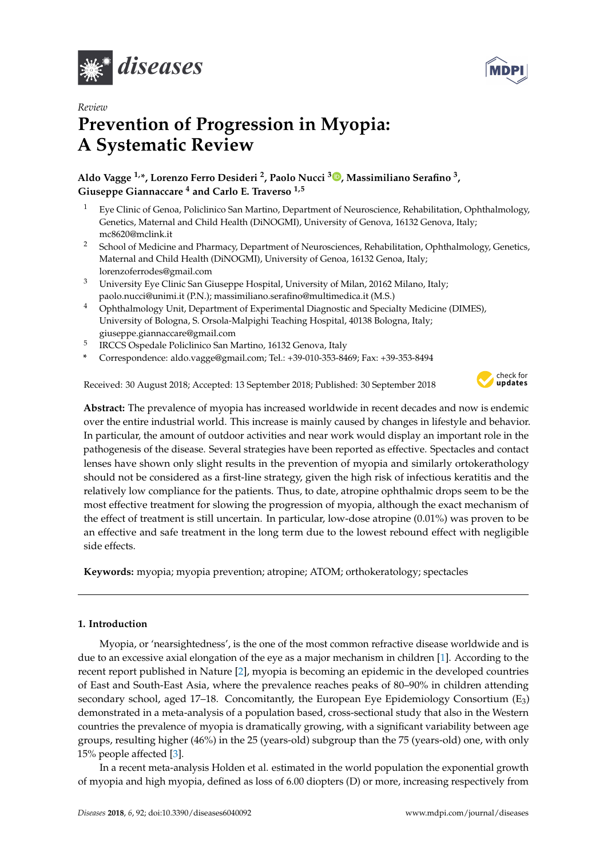

*Review*



# **Prevention of Progression in Myopia: A Systematic Review**

# **Aldo Vagge 1,\*, Lorenzo Ferro Desideri <sup>2</sup> , Paolo Nucci <sup>3</sup> [,](https://orcid.org/0000-0002-4036-703X) Massimiliano Serafino <sup>3</sup> , Giuseppe Giannaccare <sup>4</sup> and Carlo E. Traverso 1,5**

- <sup>1</sup> Eye Clinic of Genoa, Policlinico San Martino, Department of Neuroscience, Rehabilitation, Ophthalmology, Genetics, Maternal and Child Health (DiNOGMI), University of Genova, 16132 Genova, Italy; mc8620@mclink.it
- <sup>2</sup> School of Medicine and Pharmacy, Department of Neurosciences, Rehabilitation, Ophthalmology, Genetics, Maternal and Child Health (DiNOGMI), University of Genoa, 16132 Genoa, Italy; lorenzoferrodes@gmail.com
- <sup>3</sup> University Eye Clinic San Giuseppe Hospital, University of Milan, 20162 Milano, Italy; paolo.nucci@unimi.it (P.N.); massimiliano.serafino@multimedica.it (M.S.)
- <sup>4</sup> Ophthalmology Unit, Department of Experimental Diagnostic and Specialty Medicine (DIMES), University of Bologna, S. Orsola-Malpighi Teaching Hospital, 40138 Bologna, Italy; giuseppe.giannaccare@gmail.com
- 5 IRCCS Ospedale Policlinico San Martino, 16132 Genova, Italy
- **\*** Correspondence: aldo.vagge@gmail.com; Tel.: +39-010-353-8469; Fax: +39-353-8494

Received: 30 August 2018; Accepted: 13 September 2018; Published: 30 September 2018



**Abstract:** The prevalence of myopia has increased worldwide in recent decades and now is endemic over the entire industrial world. This increase is mainly caused by changes in lifestyle and behavior. In particular, the amount of outdoor activities and near work would display an important role in the pathogenesis of the disease. Several strategies have been reported as effective. Spectacles and contact lenses have shown only slight results in the prevention of myopia and similarly ortokerathology should not be considered as a first-line strategy, given the high risk of infectious keratitis and the relatively low compliance for the patients. Thus, to date, atropine ophthalmic drops seem to be the most effective treatment for slowing the progression of myopia, although the exact mechanism of the effect of treatment is still uncertain. In particular, low-dose atropine (0.01%) was proven to be an effective and safe treatment in the long term due to the lowest rebound effect with negligible side effects.

**Keywords:** myopia; myopia prevention; atropine; ATOM; orthokeratology; spectacles

# **1. Introduction**

Myopia, or 'nearsightedness', is the one of the most common refractive disease worldwide and is due to an excessive axial elongation of the eye as a major mechanism in children [\[1\]](#page-17-0). According to the recent report published in Nature [\[2\]](#page-17-1), myopia is becoming an epidemic in the developed countries of East and South-East Asia, where the prevalence reaches peaks of 80–90% in children attending secondary school, aged 17–18. Concomitantly, the European Eye Epidemiology Consortium (E3) demonstrated in a meta-analysis of a population based, cross-sectional study that also in the Western countries the prevalence of myopia is dramatically growing, with a significant variability between age groups, resulting higher (46%) in the 25 (years-old) subgroup than the 75 (years-old) one, with only 15% people affected [\[3\]](#page-17-2).

In a recent meta-analysis Holden et al. estimated in the world population the exponential growth of myopia and high myopia, defined as loss of 6.00 diopters (D) or more, increasing respectively from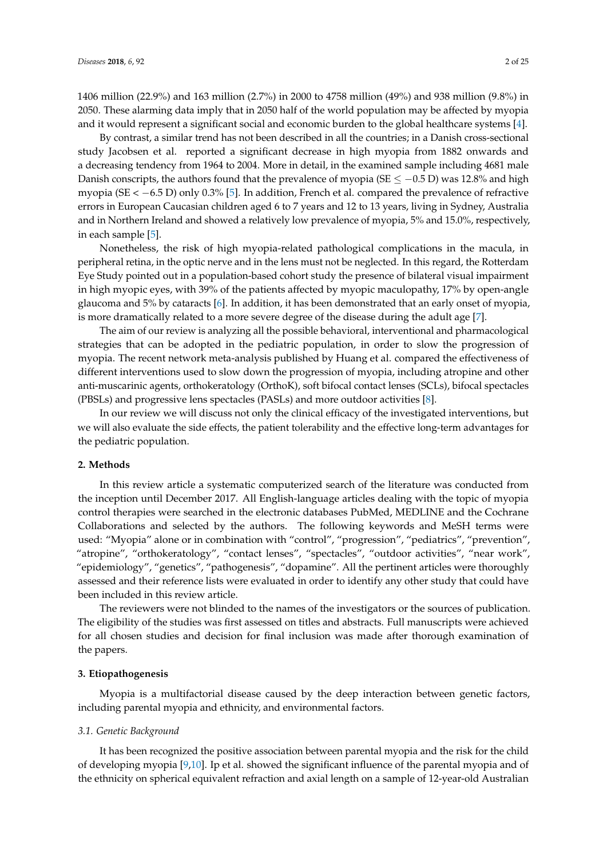1406 million (22.9%) and 163 million (2.7%) in 2000 to 4758 million (49%) and 938 million (9.8%) in 2050. These alarming data imply that in 2050 half of the world population may be affected by myopia and it would represent a significant social and economic burden to the global healthcare systems [\[4\]](#page-17-3).

By contrast, a similar trend has not been described in all the countries; in a Danish cross-sectional study Jacobsen et al. reported a significant decrease in high myopia from 1882 onwards and a decreasing tendency from 1964 to 2004. More in detail, in the examined sample including 4681 male Danish conscripts, the authors found that the prevalence of myopia (SE  $\leq -0.5$  D) was 12.8% and high myopia (SE < −6.5 D) only 0.3% [\[5\]](#page-17-4). In addition, French et al. compared the prevalence of refractive errors in European Caucasian children aged 6 to 7 years and 12 to 13 years, living in Sydney, Australia and in Northern Ireland and showed a relatively low prevalence of myopia, 5% and 15.0%, respectively, in each sample [\[5\]](#page-17-4).

Nonetheless, the risk of high myopia-related pathological complications in the macula, in peripheral retina, in the optic nerve and in the lens must not be neglected. In this regard, the Rotterdam Eye Study pointed out in a population-based cohort study the presence of bilateral visual impairment in high myopic eyes, with 39% of the patients affected by myopic maculopathy, 17% by open-angle glaucoma and 5% by cataracts [\[6\]](#page-17-5). In addition, it has been demonstrated that an early onset of myopia, is more dramatically related to a more severe degree of the disease during the adult age [\[7\]](#page-17-6).

The aim of our review is analyzing all the possible behavioral, interventional and pharmacological strategies that can be adopted in the pediatric population, in order to slow the progression of myopia. The recent network meta-analysis published by Huang et al. compared the effectiveness of different interventions used to slow down the progression of myopia, including atropine and other anti-muscarinic agents, orthokeratology (OrthoK), soft bifocal contact lenses (SCLs), bifocal spectacles (PBSLs) and progressive lens spectacles (PASLs) and more outdoor activities [\[8\]](#page-17-7).

In our review we will discuss not only the clinical efficacy of the investigated interventions, but we will also evaluate the side effects, the patient tolerability and the effective long-term advantages for the pediatric population.

# **2. Methods**

In this review article a systematic computerized search of the literature was conducted from the inception until December 2017. All English-language articles dealing with the topic of myopia control therapies were searched in the electronic databases PubMed, MEDLINE and the Cochrane Collaborations and selected by the authors. The following keywords and MeSH terms were used: "Myopia" alone or in combination with "control", "progression", "pediatrics", "prevention", "atropine", "orthokeratology", "contact lenses", "spectacles", "outdoor activities", "near work", "epidemiology", "genetics", "pathogenesis", "dopamine". All the pertinent articles were thoroughly assessed and their reference lists were evaluated in order to identify any other study that could have been included in this review article.

The reviewers were not blinded to the names of the investigators or the sources of publication. The eligibility of the studies was first assessed on titles and abstracts. Full manuscripts were achieved for all chosen studies and decision for final inclusion was made after thorough examination of the papers.

### **3. Etiopathogenesis**

Myopia is a multifactorial disease caused by the deep interaction between genetic factors, including parental myopia and ethnicity, and environmental factors.

#### *3.1. Genetic Background*

It has been recognized the positive association between parental myopia and the risk for the child of developing myopia [\[9](#page-17-8)[,10\]](#page-17-9). Ip et al. showed the significant influence of the parental myopia and of the ethnicity on spherical equivalent refraction and axial length on a sample of 12-year-old Australian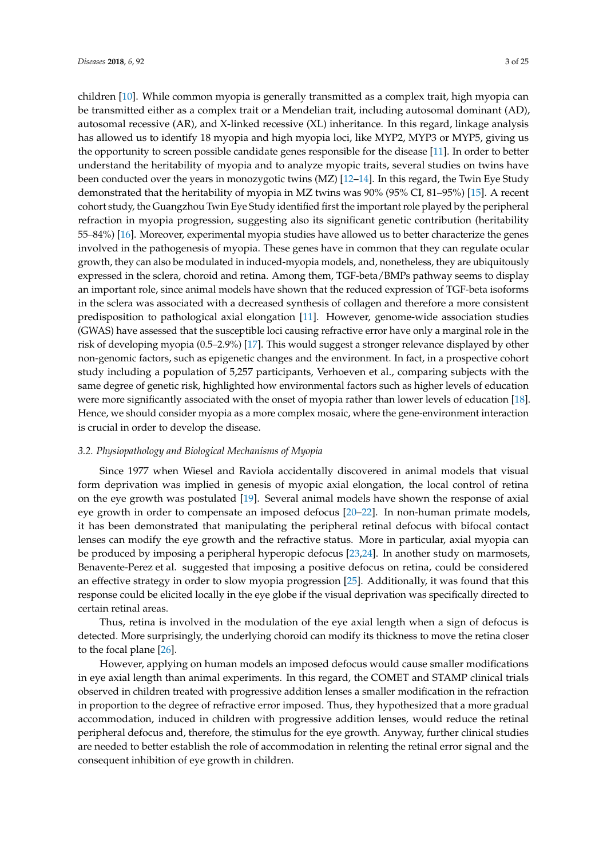children [\[10\]](#page-17-9). While common myopia is generally transmitted as a complex trait, high myopia can be transmitted either as a complex trait or a Mendelian trait, including autosomal dominant (AD), autosomal recessive (AR), and X-linked recessive (XL) inheritance. In this regard, linkage analysis has allowed us to identify 18 myopia and high myopia loci, like MYP2, MYP3 or MYP5, giving us the opportunity to screen possible candidate genes responsible for the disease [\[11\]](#page-17-10). In order to better understand the heritability of myopia and to analyze myopic traits, several studies on twins have been conducted over the years in monozygotic twins (MZ) [\[12–](#page-17-11)[14\]](#page-18-0). In this regard, the Twin Eye Study demonstrated that the heritability of myopia in MZ twins was 90% (95% CI, 81–95%) [\[15\]](#page-18-1). A recent cohort study, the Guangzhou Twin Eye Study identified first the important role played by the peripheral refraction in myopia progression, suggesting also its significant genetic contribution (heritability 55–84%) [\[16\]](#page-18-2). Moreover, experimental myopia studies have allowed us to better characterize the genes involved in the pathogenesis of myopia. These genes have in common that they can regulate ocular growth, they can also be modulated in induced-myopia models, and, nonetheless, they are ubiquitously expressed in the sclera, choroid and retina. Among them, TGF-beta/BMPs pathway seems to display an important role, since animal models have shown that the reduced expression of TGF-beta isoforms in the sclera was associated with a decreased synthesis of collagen and therefore a more consistent predisposition to pathological axial elongation [\[11\]](#page-17-10). However, genome-wide association studies (GWAS) have assessed that the susceptible loci causing refractive error have only a marginal role in the risk of developing myopia (0.5–2.9%) [\[17\]](#page-18-3). This would suggest a stronger relevance displayed by other non-genomic factors, such as epigenetic changes and the environment. In fact, in a prospective cohort study including a population of 5,257 participants, Verhoeven et al., comparing subjects with the same degree of genetic risk, highlighted how environmental factors such as higher levels of education were more significantly associated with the onset of myopia rather than lower levels of education [\[18\]](#page-18-4). Hence, we should consider myopia as a more complex mosaic, where the gene-environment interaction is crucial in order to develop the disease.

## *3.2. Physiopathology and Biological Mechanisms of Myopia*

Since 1977 when Wiesel and Raviola accidentally discovered in animal models that visual form deprivation was implied in genesis of myopic axial elongation, the local control of retina on the eye growth was postulated [\[19\]](#page-18-5). Several animal models have shown the response of axial eye growth in order to compensate an imposed defocus [\[20–](#page-18-6)[22\]](#page-18-7). In non-human primate models, it has been demonstrated that manipulating the peripheral retinal defocus with bifocal contact lenses can modify the eye growth and the refractive status. More in particular, axial myopia can be produced by imposing a peripheral hyperopic defocus [\[23](#page-18-8)[,24\]](#page-18-9). In another study on marmosets, Benavente-Perez et al. suggested that imposing a positive defocus on retina, could be considered an effective strategy in order to slow myopia progression [\[25\]](#page-18-10). Additionally, it was found that this response could be elicited locally in the eye globe if the visual deprivation was specifically directed to certain retinal areas.

Thus, retina is involved in the modulation of the eye axial length when a sign of defocus is detected. More surprisingly, the underlying choroid can modify its thickness to move the retina closer to the focal plane [\[26\]](#page-18-11).

However, applying on human models an imposed defocus would cause smaller modifications in eye axial length than animal experiments. In this regard, the COMET and STAMP clinical trials observed in children treated with progressive addition lenses a smaller modification in the refraction in proportion to the degree of refractive error imposed. Thus, they hypothesized that a more gradual accommodation, induced in children with progressive addition lenses, would reduce the retinal peripheral defocus and, therefore, the stimulus for the eye growth. Anyway, further clinical studies are needed to better establish the role of accommodation in relenting the retinal error signal and the consequent inhibition of eye growth in children.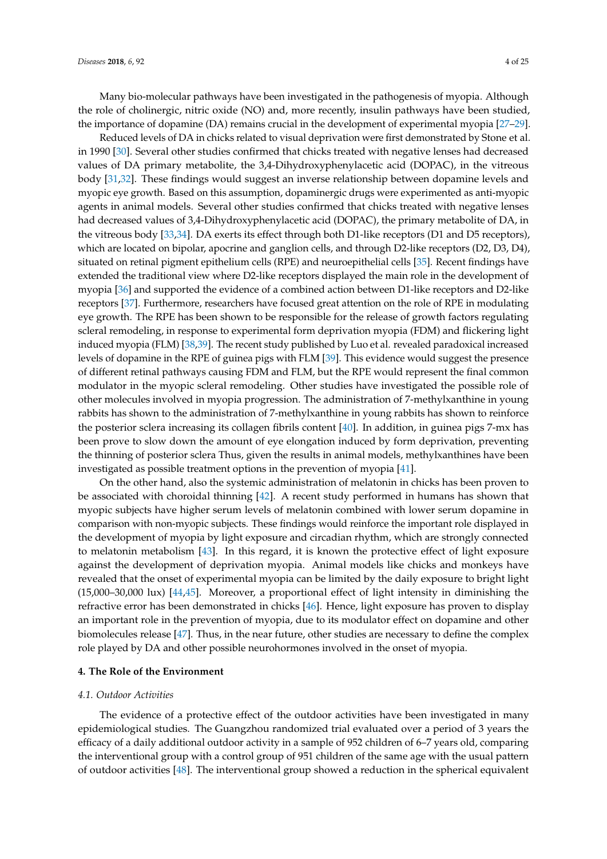Many bio-molecular pathways have been investigated in the pathogenesis of myopia. Although the role of cholinergic, nitric oxide (NO) and, more recently, insulin pathways have been studied, the importance of dopamine (DA) remains crucial in the development of experimental myopia [\[27–](#page-18-12)[29\]](#page-18-13).

Reduced levels of DA in chicks related to visual deprivation were first demonstrated by Stone et al. in 1990 [\[30\]](#page-18-14). Several other studies confirmed that chicks treated with negative lenses had decreased values of DA primary metabolite, the 3,4-Dihydroxyphenylacetic acid (DOPAC), in the vitreous body [\[31](#page-18-15)[,32\]](#page-18-16). These findings would suggest an inverse relationship between dopamine levels and myopic eye growth. Based on this assumption, dopaminergic drugs were experimented as anti-myopic agents in animal models. Several other studies confirmed that chicks treated with negative lenses had decreased values of 3,4-Dihydroxyphenylacetic acid (DOPAC), the primary metabolite of DA, in the vitreous body [\[33](#page-18-17)[,34\]](#page-18-18). DA exerts its effect through both D1-like receptors (D1 and D5 receptors), which are located on bipolar, apocrine and ganglion cells, and through D2-like receptors (D2, D3, D4), situated on retinal pigment epithelium cells (RPE) and neuroepithelial cells [\[35\]](#page-19-0). Recent findings have extended the traditional view where D2-like receptors displayed the main role in the development of myopia [\[36\]](#page-19-1) and supported the evidence of a combined action between D1-like receptors and D2-like receptors [\[37\]](#page-19-2). Furthermore, researchers have focused great attention on the role of RPE in modulating eye growth. The RPE has been shown to be responsible for the release of growth factors regulating scleral remodeling, in response to experimental form deprivation myopia (FDM) and flickering light induced myopia (FLM) [\[38](#page-19-3)[,39\]](#page-19-4). The recent study published by Luo et al. revealed paradoxical increased levels of dopamine in the RPE of guinea pigs with FLM [\[39\]](#page-19-4). This evidence would suggest the presence of different retinal pathways causing FDM and FLM, but the RPE would represent the final common modulator in the myopic scleral remodeling. Other studies have investigated the possible role of other molecules involved in myopia progression. The administration of 7-methylxanthine in young rabbits has shown to the administration of 7-methylxanthine in young rabbits has shown to reinforce the posterior sclera increasing its collagen fibrils content [\[40\]](#page-19-5). In addition, in guinea pigs 7-mx has been prove to slow down the amount of eye elongation induced by form deprivation, preventing the thinning of posterior sclera Thus, given the results in animal models, methylxanthines have been investigated as possible treatment options in the prevention of myopia [\[41\]](#page-19-6).

On the other hand, also the systemic administration of melatonin in chicks has been proven to be associated with choroidal thinning [\[42\]](#page-19-7). A recent study performed in humans has shown that myopic subjects have higher serum levels of melatonin combined with lower serum dopamine in comparison with non-myopic subjects. These findings would reinforce the important role displayed in the development of myopia by light exposure and circadian rhythm, which are strongly connected to melatonin metabolism [\[43\]](#page-19-8). In this regard, it is known the protective effect of light exposure against the development of deprivation myopia. Animal models like chicks and monkeys have revealed that the onset of experimental myopia can be limited by the daily exposure to bright light (15,000–30,000 lux) [\[44](#page-19-9)[,45\]](#page-19-10). Moreover, a proportional effect of light intensity in diminishing the refractive error has been demonstrated in chicks [\[46\]](#page-19-11). Hence, light exposure has proven to display an important role in the prevention of myopia, due to its modulator effect on dopamine and other biomolecules release [\[47\]](#page-19-12). Thus, in the near future, other studies are necessary to define the complex role played by DA and other possible neurohormones involved in the onset of myopia.

#### **4. The Role of the Environment**

#### *4.1. Outdoor Activities*

The evidence of a protective effect of the outdoor activities have been investigated in many epidemiological studies. The Guangzhou randomized trial evaluated over a period of 3 years the efficacy of a daily additional outdoor activity in a sample of 952 children of 6–7 years old, comparing the interventional group with a control group of 951 children of the same age with the usual pattern of outdoor activities [\[48\]](#page-19-13). The interventional group showed a reduction in the spherical equivalent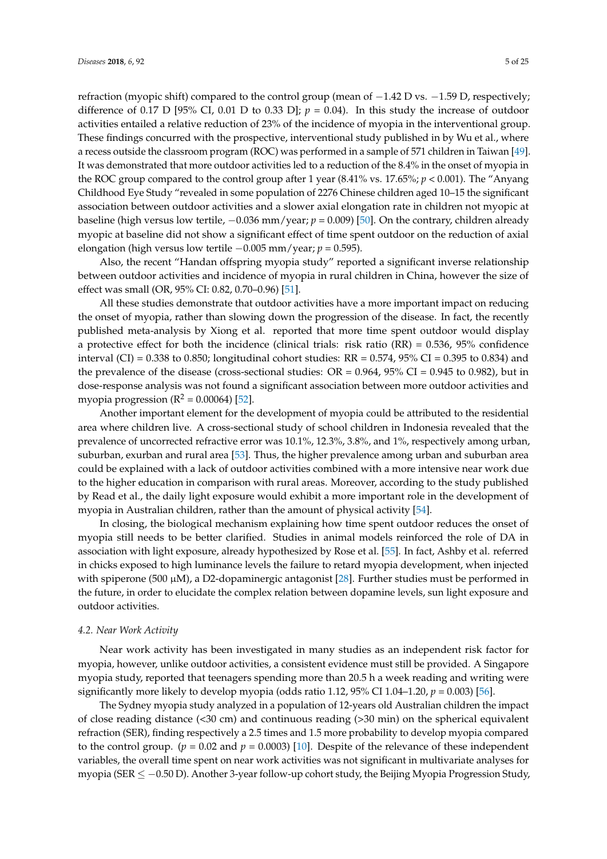refraction (myopic shift) compared to the control group (mean of −1.42 D vs. −1.59 D, respectively; difference of 0.17 D [95% CI, 0.01 D to 0.33 D];  $p = 0.04$ ). In this study the increase of outdoor activities entailed a relative reduction of 23% of the incidence of myopia in the interventional group. These findings concurred with the prospective, interventional study published in by Wu et al., where a recess outside the classroom program (ROC) was performed in a sample of 571 children in Taiwan [\[49\]](#page-19-14). It was demonstrated that more outdoor activities led to a reduction of the 8.4% in the onset of myopia in the ROC group compared to the control group after 1 year (8.41% vs. 17.65%; *p* < 0.001). The "Anyang Childhood Eye Study "revealed in some population of 2276 Chinese children aged 10–15 the significant association between outdoor activities and a slower axial elongation rate in children not myopic at baseline (high versus low tertile, −0.036 mm/year; *p* = 0.009) [\[50\]](#page-19-15). On the contrary, children already myopic at baseline did not show a significant effect of time spent outdoor on the reduction of axial elongation (high versus low tertile −0.005 mm/year; *p* = 0.595).

Also, the recent "Handan offspring myopia study" reported a significant inverse relationship between outdoor activities and incidence of myopia in rural children in China, however the size of effect was small (OR, 95% CI: 0.82, 0.70–0.96) [\[51\]](#page-19-16).

All these studies demonstrate that outdoor activities have a more important impact on reducing the onset of myopia, rather than slowing down the progression of the disease. In fact, the recently published meta-analysis by Xiong et al. reported that more time spent outdoor would display a protective effect for both the incidence (clinical trials: risk ratio  $(RR) = 0.536$ , 95% confidence interval (CI) = 0.338 to 0.850; longitudinal cohort studies:  $RR = 0.574$ , 95% CI = 0.395 to 0.834) and the prevalence of the disease (cross-sectional studies:  $OR = 0.964$ ,  $95\% CI = 0.945$  to 0.982), but in dose-response analysis was not found a significant association between more outdoor activities and myopia progression ( $R^2 = 0.00064$ ) [\[52\]](#page-19-17).

Another important element for the development of myopia could be attributed to the residential area where children live. A cross-sectional study of school children in Indonesia revealed that the prevalence of uncorrected refractive error was 10.1%, 12.3%, 3.8%, and 1%, respectively among urban, suburban, exurban and rural area [\[53\]](#page-19-18). Thus, the higher prevalence among urban and suburban area could be explained with a lack of outdoor activities combined with a more intensive near work due to the higher education in comparison with rural areas. Moreover, according to the study published by Read et al., the daily light exposure would exhibit a more important role in the development of myopia in Australian children, rather than the amount of physical activity [\[54\]](#page-19-19).

In closing, the biological mechanism explaining how time spent outdoor reduces the onset of myopia still needs to be better clarified. Studies in animal models reinforced the role of DA in association with light exposure, already hypothesized by Rose et al. [\[55\]](#page-20-0). In fact, Ashby et al. referred in chicks exposed to high luminance levels the failure to retard myopia development, when injected with spiperone (500  $\mu$ M), a D2-dopaminergic antagonist [\[28\]](#page-18-19). Further studies must be performed in the future, in order to elucidate the complex relation between dopamine levels, sun light exposure and outdoor activities.

#### *4.2. Near Work Activity*

Near work activity has been investigated in many studies as an independent risk factor for myopia, however, unlike outdoor activities, a consistent evidence must still be provided. A Singapore myopia study, reported that teenagers spending more than 20.5 h a week reading and writing were significantly more likely to develop myopia (odds ratio 1.12, 95% CI 1.04–1.20,  $p = 0.003$ ) [\[56\]](#page-20-1).

The Sydney myopia study analyzed in a population of 12-years old Australian children the impact of close reading distance (<30 cm) and continuous reading (>30 min) on the spherical equivalent refraction (SER), finding respectively a 2.5 times and 1.5 more probability to develop myopia compared to the control group.  $(p = 0.02 \text{ and } p = 0.0003)$  [\[10\]](#page-17-9). Despite of the relevance of these independent variables, the overall time spent on near work activities was not significant in multivariate analyses for myopia (SER ≤ −0.50 D). Another 3-year follow-up cohort study, the Beijing Myopia Progression Study,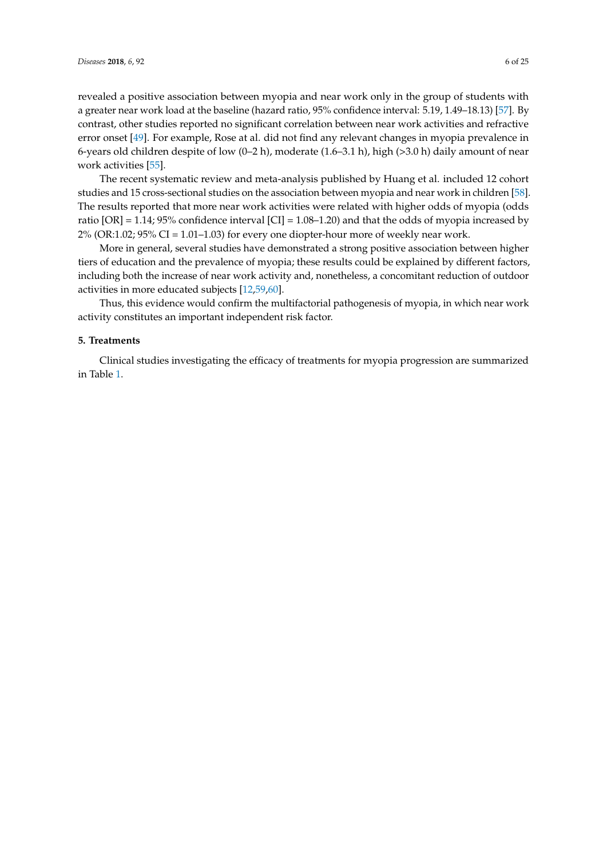revealed a positive association between myopia and near work only in the group of students with a greater near work load at the baseline (hazard ratio, 95% confidence interval: 5.19, 1.49–18.13) [\[57\]](#page-20-2). By contrast, other studies reported no significant correlation between near work activities and refractive error onset [\[49\]](#page-19-14). For example, Rose at al. did not find any relevant changes in myopia prevalence in 6-years old children despite of low  $(0-2 h)$ , moderate  $(1.6-3.1 h)$ , high  $(>3.0 h)$  daily amount of near work activities [\[55\]](#page-20-0).

The recent systematic review and meta-analysis published by Huang et al. included 12 cohort studies and 15 cross-sectional studies on the association between myopia and near work in children [\[58\]](#page-20-3). The results reported that more near work activities were related with higher odds of myopia (odds ratio [OR] = 1.14; 95% confidence interval [CI] = 1.08–1.20) and that the odds of myopia increased by  $2\%$  (OR:1.02; 95% CI = 1.01–1.03) for every one diopter-hour more of weekly near work.

More in general, several studies have demonstrated a strong positive association between higher tiers of education and the prevalence of myopia; these results could be explained by different factors, including both the increase of near work activity and, nonetheless, a concomitant reduction of outdoor activities in more educated subjects [\[12,](#page-17-11)[59,](#page-20-4)[60\]](#page-20-5).

Thus, this evidence would confirm the multifactorial pathogenesis of myopia, in which near work activity constitutes an important independent risk factor.

## **5. Treatments**

Clinical studies investigating the efficacy of treatments for myopia progression are summarized in Table [1.](#page-6-0)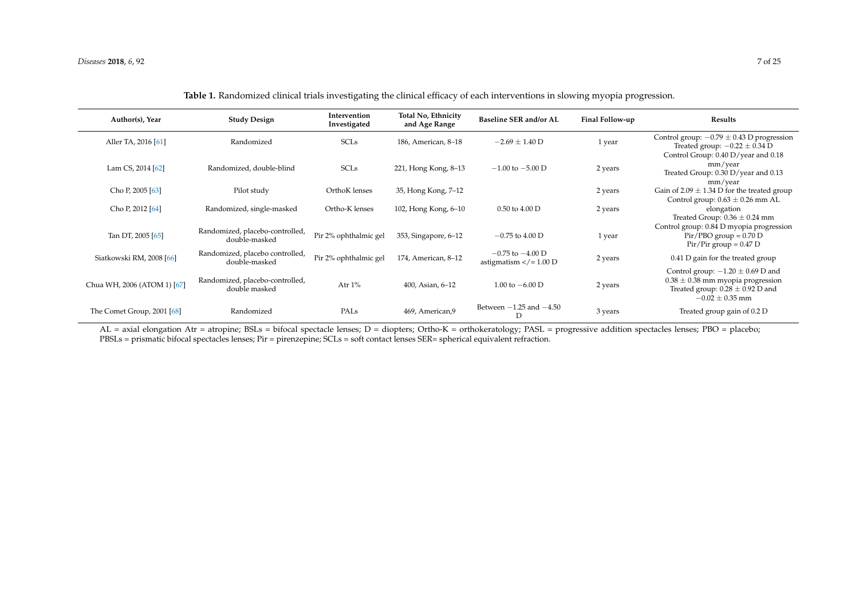| Author(s), Year             | <b>Study Design</b>                              | Intervention<br>Investigated | <b>Total No, Ethnicity</b><br>and Age Range | <b>Baseline SER and/or AL</b>                       | Final Follow-up | <b>Results</b>                                                                                                                                |
|-----------------------------|--------------------------------------------------|------------------------------|---------------------------------------------|-----------------------------------------------------|-----------------|-----------------------------------------------------------------------------------------------------------------------------------------------|
| Aller TA, 2016 [61]         | Randomized                                       | <b>SCLs</b>                  | 186, American, 8-18                         | $-2.69 \pm 1.40$ D                                  | 1 year          | Control group: $-0.79 \pm 0.43$ D progression<br>Treated group: $-0.22 \pm 0.34$ D<br>Control Group: 0.40 D/year and 0.18                     |
| Lam CS, 2014 [62]           | Randomized, double-blind                         | <b>SCLs</b>                  | 221, Hong Kong, 8-13                        | $-1.00$ to $-5.00$ D                                | 2 years         | mm/year<br>Treated Group: 0.30 D/year and 0.13                                                                                                |
| Cho P, 2005 [63]            | Pilot study                                      | OrthoK lenses                | 35, Hong Kong, 7–12                         |                                                     | 2 years         | mm/year<br>Gain of $2.09 \pm 1.34$ D for the treated group<br>Control group: $0.63 \pm 0.26$ mm AL                                            |
| Cho P, 2012 [64]            | Randomized, single-masked                        | Ortho-K lenses               | 102, Hong Kong, 6-10                        | $0.50$ to $4.00$ D                                  | 2 years         | elongation<br>Treated Group: $0.36 \pm 0.24$ mm                                                                                               |
| Tan DT, 2005 [65]           | Randomized, placebo-controlled,<br>double-masked | Pir 2% ophthalmic gel        | 353, Singapore, 6-12                        | $-0.75$ to 4.00 D                                   | 1 year          | Control group: 0.84 D myopia progression<br>$Pir/PBO group = 0.70 D$<br>$Pir/Pir$ group = 0.47 D                                              |
| Siatkowski RM, 2008 [66]    | Randomized, placebo controlled,<br>double-masked | Pir 2% ophthalmic gel        | 174, American, 8-12                         | $-0.75$ to $-4.00$ D<br>astigmatism $\lt/ = 1.00$ D | 2 years         | 0.41 D gain for the treated group                                                                                                             |
| Chua WH, 2006 (ATOM 1) [67] | Randomized, placebo-controlled,<br>double masked | Atr $1\%$                    | 400, Asian, 6-12                            | 1.00 to $-6.00$ D                                   | 2 years         | Control group: $-1.20 \pm 0.69$ D and<br>$0.38 \pm 0.38$ mm myopia progression<br>Treated group: $0.28 \pm 0.92$ D and<br>$-0.02 \pm 0.35$ mm |
| The Comet Group, 2001 [68]  | Randomized                                       | PALs                         | 469, American, 9                            | Between $-1.25$ and $-4.50$                         | 3 years         | Treated group gain of 0.2 D                                                                                                                   |

<span id="page-6-0"></span>AL = axial elongation Atr = atropine; BSLs = bifocal spectacle lenses; D = diopters; Ortho-K = orthokeratology; PASL = progressive addition spectacles lenses; PBO = placebo; PBSLs = prismatic bifocal spectacles lenses; Pir = pirenzepine; SCLs = soft contact lenses SER= spherical equivalent refraction.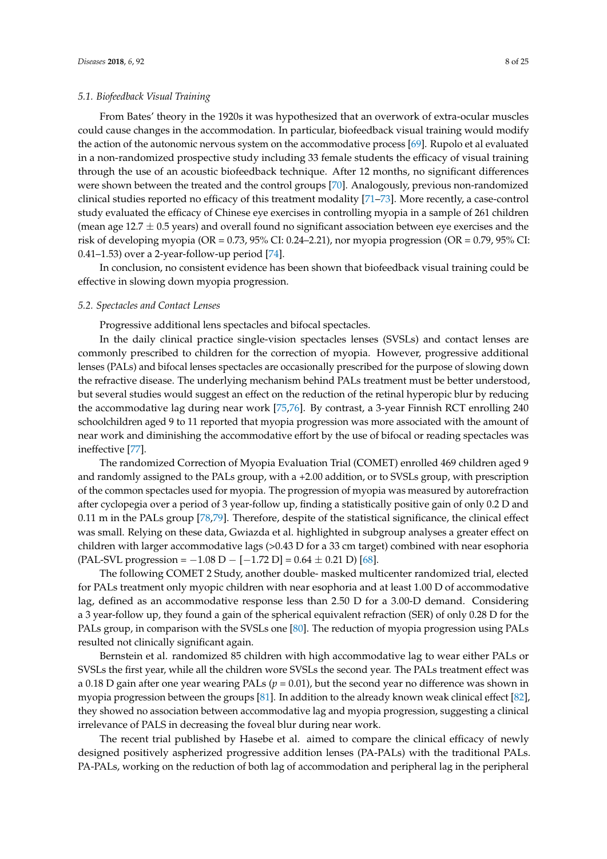### *5.1. Biofeedback Visual Training*

From Bates' theory in the 1920s it was hypothesized that an overwork of extra-ocular muscles could cause changes in the accommodation. In particular, biofeedback visual training would modify the action of the autonomic nervous system on the accommodative process [\[69\]](#page-20-14). Rupolo et al evaluated in a non-randomized prospective study including 33 female students the efficacy of visual training through the use of an acoustic biofeedback technique. After 12 months, no significant differences were shown between the treated and the control groups [\[70\]](#page-20-15). Analogously, previous non-randomized clinical studies reported no efficacy of this treatment modality [\[71](#page-20-16)[–73\]](#page-20-17). More recently, a case-control study evaluated the efficacy of Chinese eye exercises in controlling myopia in a sample of 261 children (mean age  $12.7 \pm 0.5$  years) and overall found no significant association between eye exercises and the risk of developing myopia (OR = 0.73, 95% CI: 0.24–2.21), nor myopia progression (OR = 0.79, 95% CI: 0.41–1.53) over a 2-year-follow-up period [\[74\]](#page-20-18).

In conclusion, no consistent evidence has been shown that biofeedback visual training could be effective in slowing down myopia progression.

### *5.2. Spectacles and Contact Lenses*

Progressive additional lens spectacles and bifocal spectacles.

In the daily clinical practice single-vision spectacles lenses (SVSLs) and contact lenses are commonly prescribed to children for the correction of myopia. However, progressive additional lenses (PALs) and bifocal lenses spectacles are occasionally prescribed for the purpose of slowing down the refractive disease. The underlying mechanism behind PALs treatment must be better understood, but several studies would suggest an effect on the reduction of the retinal hyperopic blur by reducing the accommodative lag during near work [\[75](#page-20-19)[,76\]](#page-21-0). By contrast, a 3-year Finnish RCT enrolling 240 schoolchildren aged 9 to 11 reported that myopia progression was more associated with the amount of near work and diminishing the accommodative effort by the use of bifocal or reading spectacles was ineffective [\[77\]](#page-21-1).

The randomized Correction of Myopia Evaluation Trial (COMET) enrolled 469 children aged 9 and randomly assigned to the PALs group, with a +2.00 addition, or to SVSLs group, with prescription of the common spectacles used for myopia. The progression of myopia was measured by autorefraction after cyclopegia over a period of 3 year-follow up, finding a statistically positive gain of only 0.2 D and 0.11 m in the PALs group [\[78](#page-21-2)[,79\]](#page-21-3). Therefore, despite of the statistical significance, the clinical effect was small. Relying on these data, Gwiazda et al. highlighted in subgroup analyses a greater effect on children with larger accommodative lags (>0.43 D for a 33 cm target) combined with near esophoria  $(PAL-SVL$  progression =  $-1.08$  D  $[-1.72$  D] = 0.64  $\pm$  0.21 D) [\[68\]](#page-20-20).

The following COMET 2 Study, another double- masked multicenter randomized trial, elected for PALs treatment only myopic children with near esophoria and at least 1.00 D of accommodative lag, defined as an accommodative response less than 2.50 D for a 3.00-D demand. Considering a 3 year-follow up, they found a gain of the spherical equivalent refraction (SER) of only 0.28 D for the PALs group, in comparison with the SVSLs one [\[80\]](#page-21-4). The reduction of myopia progression using PALs resulted not clinically significant again.

Bernstein et al. randomized 85 children with high accommodative lag to wear either PALs or SVSLs the first year, while all the children wore SVSLs the second year. The PALs treatment effect was a 0.18 D gain after one year wearing PALs (*p* = 0.01), but the second year no difference was shown in myopia progression between the groups [\[81\]](#page-21-5). In addition to the already known weak clinical effect [\[82\]](#page-21-6), they showed no association between accommodative lag and myopia progression, suggesting a clinical irrelevance of PALS in decreasing the foveal blur during near work.

The recent trial published by Hasebe et al. aimed to compare the clinical efficacy of newly designed positively aspherized progressive addition lenses (PA-PALs) with the traditional PALs. PA-PALs, working on the reduction of both lag of accommodation and peripheral lag in the peripheral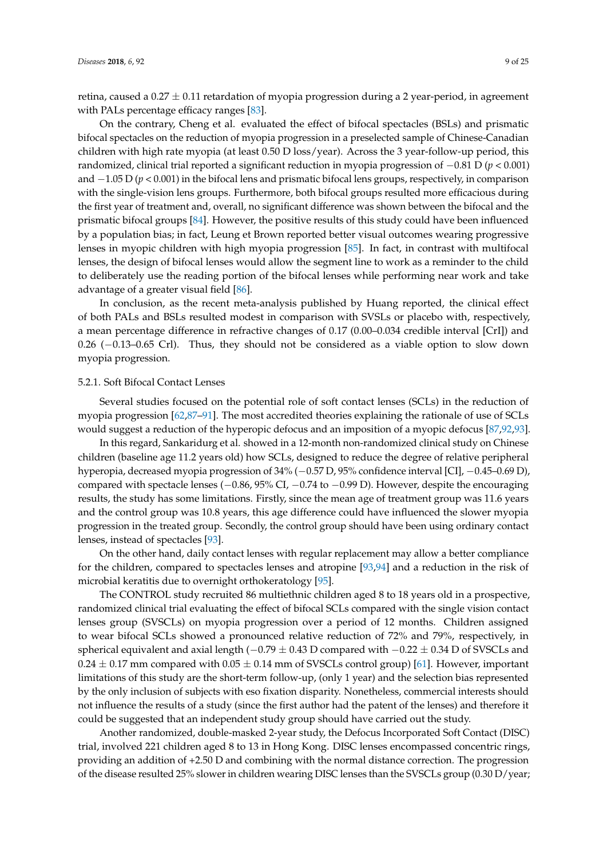retina, caused a  $0.27 \pm 0.11$  retardation of myopia progression during a 2 year-period, in agreement with PALs percentage efficacy ranges [\[83\]](#page-21-7).

On the contrary, Cheng et al. evaluated the effect of bifocal spectacles (BSLs) and prismatic bifocal spectacles on the reduction of myopia progression in a preselected sample of Chinese-Canadian children with high rate myopia (at least 0.50 D loss/year). Across the 3 year-follow-up period, this randomized, clinical trial reported a significant reduction in myopia progression of −0.81 D (*p* < 0.001) and −1.05 D (*p* < 0.001) in the bifocal lens and prismatic bifocal lens groups, respectively, in comparison with the single-vision lens groups. Furthermore, both bifocal groups resulted more efficacious during the first year of treatment and, overall, no significant difference was shown between the bifocal and the prismatic bifocal groups [\[84\]](#page-21-8). However, the positive results of this study could have been influenced by a population bias; in fact, Leung et Brown reported better visual outcomes wearing progressive lenses in myopic children with high myopia progression [\[85\]](#page-21-9). In fact, in contrast with multifocal lenses, the design of bifocal lenses would allow the segment line to work as a reminder to the child to deliberately use the reading portion of the bifocal lenses while performing near work and take advantage of a greater visual field [\[86\]](#page-21-10).

In conclusion, as the recent meta-analysis published by Huang reported, the clinical effect of both PALs and BSLs resulted modest in comparison with SVSLs or placebo with, respectively, a mean percentage difference in refractive changes of 0.17 (0.00–0.034 credible interval [CrI]) and 0.26 (−0.13–0.65 Crl). Thus, they should not be considered as a viable option to slow down myopia progression.

#### 5.2.1. Soft Bifocal Contact Lenses

Several studies focused on the potential role of soft contact lenses (SCLs) in the reduction of myopia progression [\[62,](#page-20-21)[87–](#page-21-11)[91\]](#page-21-12). The most accredited theories explaining the rationale of use of SCLs would suggest a reduction of the hyperopic defocus and an imposition of a myopic defocus [\[87](#page-21-11)[,92,](#page-21-13)[93\]](#page-21-14).

In this regard, Sankaridurg et al. showed in a 12-month non-randomized clinical study on Chinese children (baseline age 11.2 years old) how SCLs, designed to reduce the degree of relative peripheral hyperopia, decreased myopia progression of 34% (−0.57 D, 95% confidence interval [CI], −0.45–0.69 D), compared with spectacle lenses (−0.86, 95% CI, −0.74 to −0.99 D). However, despite the encouraging results, the study has some limitations. Firstly, since the mean age of treatment group was 11.6 years and the control group was 10.8 years, this age difference could have influenced the slower myopia progression in the treated group. Secondly, the control group should have been using ordinary contact lenses, instead of spectacles [\[93\]](#page-21-14).

On the other hand, daily contact lenses with regular replacement may allow a better compliance for the children, compared to spectacles lenses and atropine [\[93](#page-21-14)[,94\]](#page-21-15) and a reduction in the risk of microbial keratitis due to overnight orthokeratology [\[95\]](#page-21-16).

The CONTROL study recruited 86 multiethnic children aged 8 to 18 years old in a prospective, randomized clinical trial evaluating the effect of bifocal SCLs compared with the single vision contact lenses group (SVSCLs) on myopia progression over a period of 12 months. Children assigned to wear bifocal SCLs showed a pronounced relative reduction of 72% and 79%, respectively, in spherical equivalent and axial length ( $-0.79 \pm 0.43$  D compared with  $-0.22 \pm 0.34$  D of SVSCLs and  $0.24 \pm 0.17$  mm compared with  $0.05 \pm 0.14$  mm of SVSCLs control group) [\[61\]](#page-20-22). However, important limitations of this study are the short-term follow-up, (only 1 year) and the selection bias represented by the only inclusion of subjects with eso fixation disparity. Nonetheless, commercial interests should not influence the results of a study (since the first author had the patent of the lenses) and therefore it could be suggested that an independent study group should have carried out the study.

Another randomized, double-masked 2-year study, the Defocus Incorporated Soft Contact (DISC) trial, involved 221 children aged 8 to 13 in Hong Kong. DISC lenses encompassed concentric rings, providing an addition of +2.50 D and combining with the normal distance correction. The progression of the disease resulted 25% slower in children wearing DISC lenses than the SVSCLs group (0.30 D/year;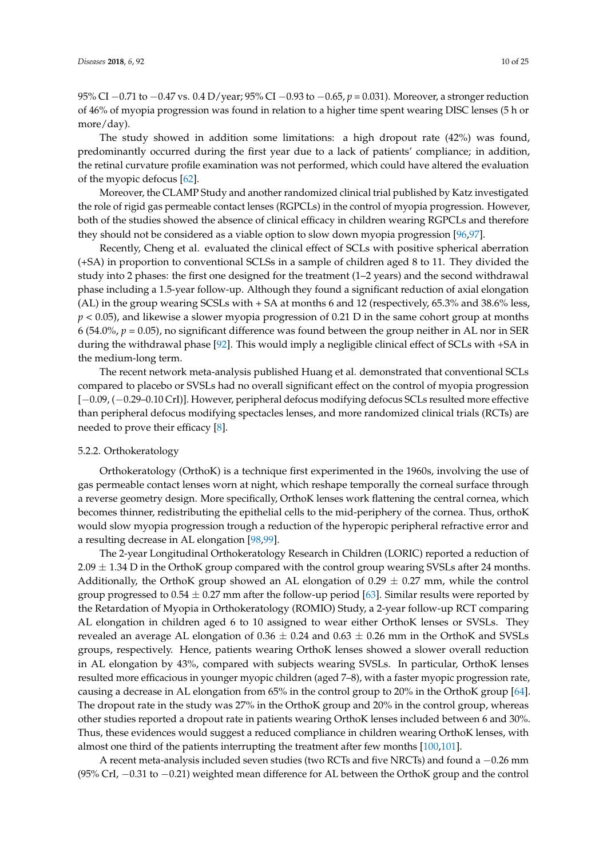95% CI −0.71 to −0.47 vs. 0.4 D/year; 95% CI −0.93 to −0.65, *p* = 0.031). Moreover, a stronger reduction of 46% of myopia progression was found in relation to a higher time spent wearing DISC lenses (5 h or more/day).

The study showed in addition some limitations: a high dropout rate (42%) was found, predominantly occurred during the first year due to a lack of patients' compliance; in addition, the retinal curvature profile examination was not performed, which could have altered the evaluation of the myopic defocus [\[62\]](#page-20-21).

Moreover, the CLAMP Study and another randomized clinical trial published by Katz investigated the role of rigid gas permeable contact lenses (RGPCLs) in the control of myopia progression. However, both of the studies showed the absence of clinical efficacy in children wearing RGPCLs and therefore they should not be considered as a viable option to slow down myopia progression [\[96](#page-21-17)[,97\]](#page-22-0).

Recently, Cheng et al. evaluated the clinical effect of SCLs with positive spherical aberration (+SA) in proportion to conventional SCLSs in a sample of children aged 8 to 11. They divided the study into 2 phases: the first one designed for the treatment (1–2 years) and the second withdrawal phase including a 1.5-year follow-up. Although they found a significant reduction of axial elongation (AL) in the group wearing SCSLs with + SA at months 6 and 12 (respectively, 65.3% and 38.6% less, *p* < 0.05), and likewise a slower myopia progression of 0.21 D in the same cohort group at months 6 (54.0%,  $p = 0.05$ ), no significant difference was found between the group neither in AL nor in SER during the withdrawal phase [\[92\]](#page-21-13). This would imply a negligible clinical effect of SCLs with +SA in the medium-long term.

The recent network meta-analysis published Huang et al. demonstrated that conventional SCLs compared to placebo or SVSLs had no overall significant effect on the control of myopia progression [−0.09, (−0.29–0.10 CrI)]. However, peripheral defocus modifying defocus SCLs resulted more effective than peripheral defocus modifying spectacles lenses, and more randomized clinical trials (RCTs) are needed to prove their efficacy [\[8\]](#page-17-7).

## 5.2.2. Orthokeratology

Orthokeratology (OrthoK) is a technique first experimented in the 1960s, involving the use of gas permeable contact lenses worn at night, which reshape temporally the corneal surface through a reverse geometry design. More specifically, OrthoK lenses work flattening the central cornea, which becomes thinner, redistributing the epithelial cells to the mid-periphery of the cornea. Thus, orthoK would slow myopia progression trough a reduction of the hyperopic peripheral refractive error and a resulting decrease in AL elongation [\[98,](#page-22-1)[99\]](#page-22-2).

The 2-year Longitudinal Orthokeratology Research in Children (LORIC) reported a reduction of  $2.09 \pm 1.34$  D in the OrthoK group compared with the control group wearing SVSLs after 24 months. Additionally, the OrthoK group showed an AL elongation of  $0.29 \pm 0.27$  mm, while the control group progressed to  $0.54 \pm 0.27$  mm after the follow-up period [\[63\]](#page-20-23). Similar results were reported by the Retardation of Myopia in Orthokeratology (ROMIO) Study, a 2-year follow-up RCT comparing AL elongation in children aged 6 to 10 assigned to wear either OrthoK lenses or SVSLs. They revealed an average AL elongation of  $0.36 \pm 0.24$  and  $0.63 \pm 0.26$  mm in the OrthoK and SVSLs groups, respectively. Hence, patients wearing OrthoK lenses showed a slower overall reduction in AL elongation by 43%, compared with subjects wearing SVSLs. In particular, OrthoK lenses resulted more efficacious in younger myopic children (aged 7–8), with a faster myopic progression rate, causing a decrease in AL elongation from 65% in the control group to 20% in the OrthoK group [\[64\]](#page-20-24). The dropout rate in the study was 27% in the OrthoK group and 20% in the control group, whereas other studies reported a dropout rate in patients wearing OrthoK lenses included between 6 and 30%. Thus, these evidences would suggest a reduced compliance in children wearing OrthoK lenses, with almost one third of the patients interrupting the treatment after few months [\[100,](#page-22-3)[101\]](#page-22-4).

A recent meta-analysis included seven studies (two RCTs and five NRCTs) and found a −0.26 mm (95% CrI, −0.31 to −0.21) weighted mean difference for AL between the OrthoK group and the control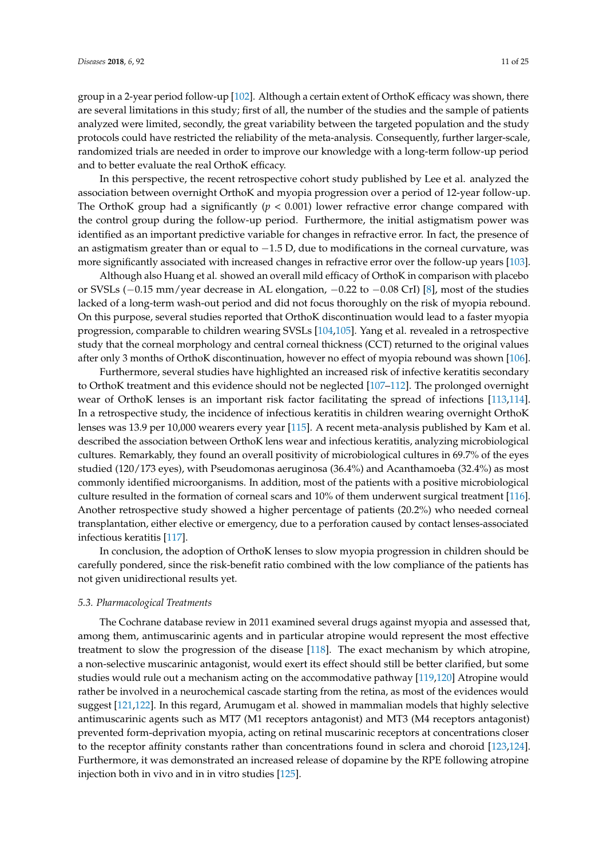group in a 2-year period follow-up [\[102\]](#page-22-5). Although a certain extent of OrthoK efficacy was shown, there are several limitations in this study; first of all, the number of the studies and the sample of patients analyzed were limited, secondly, the great variability between the targeted population and the study protocols could have restricted the reliability of the meta-analysis. Consequently, further larger-scale, randomized trials are needed in order to improve our knowledge with a long-term follow-up period and to better evaluate the real OrthoK efficacy.

In this perspective, the recent retrospective cohort study published by Lee et al. analyzed the association between overnight OrthoK and myopia progression over a period of 12-year follow-up. The OrthoK group had a significantly (*p* < 0.001) lower refractive error change compared with the control group during the follow-up period. Furthermore, the initial astigmatism power was identified as an important predictive variable for changes in refractive error. In fact, the presence of an astigmatism greater than or equal to −1.5 D, due to modifications in the corneal curvature, was more significantly associated with increased changes in refractive error over the follow-up years [\[103\]](#page-22-6).

Although also Huang et al. showed an overall mild efficacy of OrthoK in comparison with placebo or SVSLs (−0.15 mm/year decrease in AL elongation, −0.22 to −0.08 CrI) [\[8\]](#page-17-7), most of the studies lacked of a long-term wash-out period and did not focus thoroughly on the risk of myopia rebound. On this purpose, several studies reported that OrthoK discontinuation would lead to a faster myopia progression, comparable to children wearing SVSLs [\[104](#page-22-7)[,105\]](#page-22-8). Yang et al. revealed in a retrospective study that the corneal morphology and central corneal thickness (CCT) returned to the original values after only 3 months of OrthoK discontinuation, however no effect of myopia rebound was shown [\[106\]](#page-22-9).

Furthermore, several studies have highlighted an increased risk of infective keratitis secondary to OrthoK treatment and this evidence should not be neglected [\[107–](#page-22-10)[112\]](#page-22-11). The prolonged overnight wear of OrthoK lenses is an important risk factor facilitating the spread of infections [\[113,](#page-22-12)[114\]](#page-22-13). In a retrospective study, the incidence of infectious keratitis in children wearing overnight OrthoK lenses was 13.9 per 10,000 wearers every year [\[115\]](#page-22-14). A recent meta-analysis published by Kam et al. described the association between OrthoK lens wear and infectious keratitis, analyzing microbiological cultures. Remarkably, they found an overall positivity of microbiological cultures in 69.7% of the eyes studied (120/173 eyes), with Pseudomonas aeruginosa (36.4%) and Acanthamoeba (32.4%) as most commonly identified microorganisms. In addition, most of the patients with a positive microbiological culture resulted in the formation of corneal scars and 10% of them underwent surgical treatment [\[116\]](#page-22-15). Another retrospective study showed a higher percentage of patients (20.2%) who needed corneal transplantation, either elective or emergency, due to a perforation caused by contact lenses-associated infectious keratitis [\[117\]](#page-22-16).

In conclusion, the adoption of OrthoK lenses to slow myopia progression in children should be carefully pondered, since the risk-benefit ratio combined with the low compliance of the patients has not given unidirectional results yet.

#### *5.3. Pharmacological Treatments*

The Cochrane database review in 2011 examined several drugs against myopia and assessed that, among them, antimuscarinic agents and in particular atropine would represent the most effective treatment to slow the progression of the disease [\[118\]](#page-22-17). The exact mechanism by which atropine, a non-selective muscarinic antagonist, would exert its effect should still be better clarified, but some studies would rule out a mechanism acting on the accommodative pathway [\[119](#page-22-18)[,120\]](#page-22-19) Atropine would rather be involved in a neurochemical cascade starting from the retina, as most of the evidences would suggest [\[121,](#page-23-0)[122\]](#page-23-1). In this regard, Arumugam et al. showed in mammalian models that highly selective antimuscarinic agents such as MT7 (M1 receptors antagonist) and MT3 (M4 receptors antagonist) prevented form-deprivation myopia, acting on retinal muscarinic receptors at concentrations closer to the receptor affinity constants rather than concentrations found in sclera and choroid [\[123,](#page-23-2)[124\]](#page-23-3). Furthermore, it was demonstrated an increased release of dopamine by the RPE following atropine injection both in vivo and in in vitro studies [\[125\]](#page-23-4).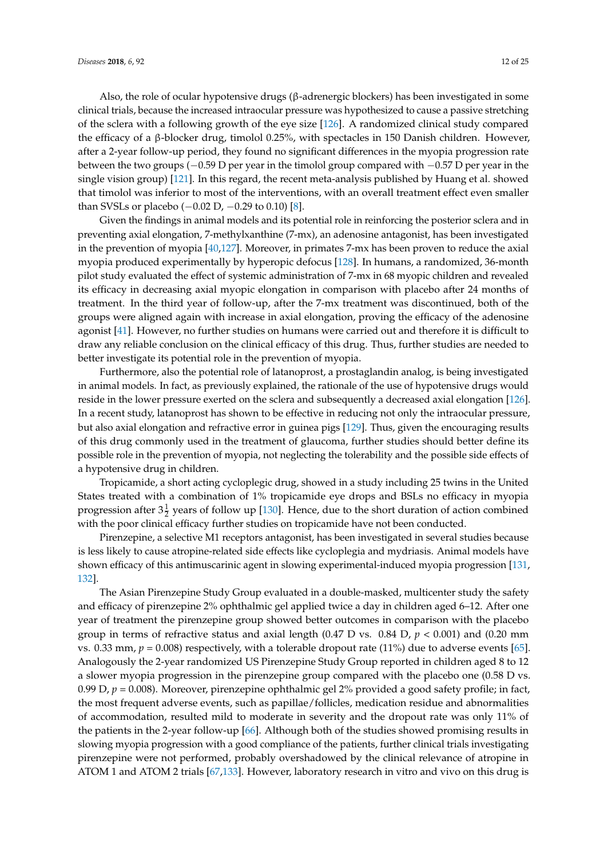Also, the role of ocular hypotensive drugs (β-adrenergic blockers) has been investigated in some clinical trials, because the increased intraocular pressure was hypothesized to cause a passive stretching of the sclera with a following growth of the eye size [\[126\]](#page-23-5). A randomized clinical study compared the efficacy of a β-blocker drug, timolol 0.25%, with spectacles in 150 Danish children. However, after a 2-year follow-up period, they found no significant differences in the myopia progression rate between the two groups (−0.59 D per year in the timolol group compared with −0.57 D per year in the single vision group) [\[121\]](#page-23-0). In this regard, the recent meta-analysis published by Huang et al. showed that timolol was inferior to most of the interventions, with an overall treatment effect even smaller than SVSLs or placebo ( $-0.02$  D,  $-0.29$  to 0.10) [\[8\]](#page-17-7).

Given the findings in animal models and its potential role in reinforcing the posterior sclera and in preventing axial elongation, 7-methylxanthine (7-mx), an adenosine antagonist, has been investigated in the prevention of myopia [\[40](#page-19-5)[,127\]](#page-23-6). Moreover, in primates 7-mx has been proven to reduce the axial myopia produced experimentally by hyperopic defocus [\[128\]](#page-23-7). In humans, a randomized, 36-month pilot study evaluated the effect of systemic administration of 7-mx in 68 myopic children and revealed its efficacy in decreasing axial myopic elongation in comparison with placebo after 24 months of treatment. In the third year of follow-up, after the 7-mx treatment was discontinued, both of the groups were aligned again with increase in axial elongation, proving the efficacy of the adenosine agonist [\[41\]](#page-19-6). However, no further studies on humans were carried out and therefore it is difficult to draw any reliable conclusion on the clinical efficacy of this drug. Thus, further studies are needed to better investigate its potential role in the prevention of myopia.

Furthermore, also the potential role of latanoprost, a prostaglandin analog, is being investigated in animal models. In fact, as previously explained, the rationale of the use of hypotensive drugs would reside in the lower pressure exerted on the sclera and subsequently a decreased axial elongation [\[126\]](#page-23-5). In a recent study, latanoprost has shown to be effective in reducing not only the intraocular pressure, but also axial elongation and refractive error in guinea pigs [\[129\]](#page-23-8). Thus, given the encouraging results of this drug commonly used in the treatment of glaucoma, further studies should better define its possible role in the prevention of myopia, not neglecting the tolerability and the possible side effects of a hypotensive drug in children.

Tropicamide, a short acting cycloplegic drug, showed in a study including 25 twins in the United States treated with a combination of 1% tropicamide eye drops and BSLs no efficacy in myopia progression after  $3\frac{1}{2}$  years of follow up [\[130\]](#page-23-9). Hence, due to the short duration of action combined with the poor clinical efficacy further studies on tropicamide have not been conducted.

Pirenzepine, a selective M1 receptors antagonist, has been investigated in several studies because is less likely to cause atropine-related side effects like cycloplegia and mydriasis. Animal models have shown efficacy of this antimuscarinic agent in slowing experimental-induced myopia progression [\[131,](#page-23-10) [132\]](#page-23-11).

The Asian Pirenzepine Study Group evaluated in a double-masked, multicenter study the safety and efficacy of pirenzepine 2% ophthalmic gel applied twice a day in children aged 6–12. After one year of treatment the pirenzepine group showed better outcomes in comparison with the placebo group in terms of refractive status and axial length (0.47 D vs. 0.84 D, *p* < 0.001) and (0.20 mm vs. 0.33 mm,  $p = 0.008$ ) respectively, with a tolerable dropout rate (11%) due to adverse events [\[65\]](#page-20-25). Analogously the 2-year randomized US Pirenzepine Study Group reported in children aged 8 to 12 a slower myopia progression in the pirenzepine group compared with the placebo one (0.58 D vs. 0.99 D, *p* = 0.008). Moreover, pirenzepine ophthalmic gel 2% provided a good safety profile; in fact, the most frequent adverse events, such as papillae/follicles, medication residue and abnormalities of accommodation, resulted mild to moderate in severity and the dropout rate was only 11% of the patients in the 2-year follow-up [\[66\]](#page-20-26). Although both of the studies showed promising results in slowing myopia progression with a good compliance of the patients, further clinical trials investigating pirenzepine were not performed, probably overshadowed by the clinical relevance of atropine in ATOM 1 and ATOM 2 trials [\[67](#page-20-27)[,133\]](#page-23-12). However, laboratory research in vitro and vivo on this drug is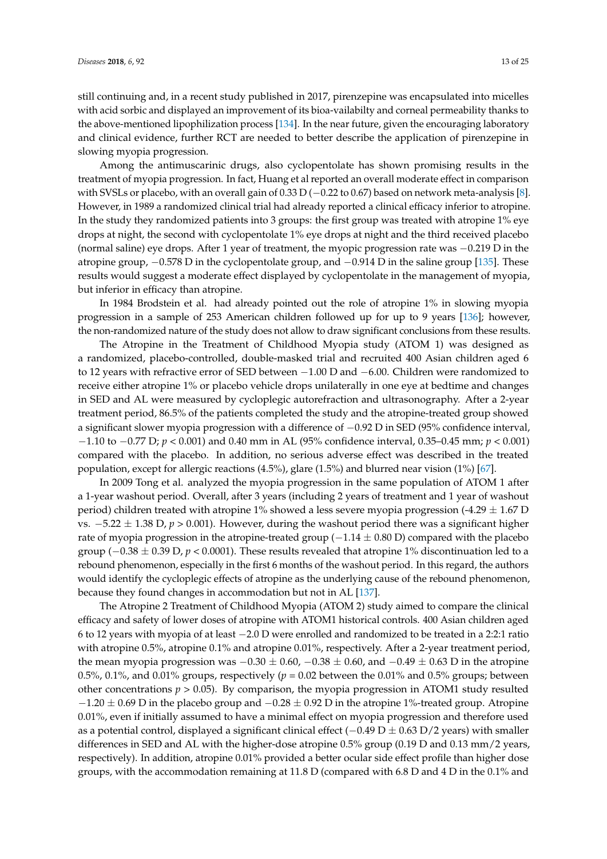still continuing and, in a recent study published in 2017, pirenzepine was encapsulated into micelles with acid sorbic and displayed an improvement of its bioa-vailabilty and corneal permeability thanks to the above-mentioned lipophilization process [\[134\]](#page-23-13). In the near future, given the encouraging laboratory and clinical evidence, further RCT are needed to better describe the application of pirenzepine in slowing myopia progression.

Among the antimuscarinic drugs, also cyclopentolate has shown promising results in the treatment of myopia progression. In fact, Huang et al reported an overall moderate effect in comparison with SVSLs or placebo, with an overall gain of 0.33 D (-0.22 to 0.67) based on network meta-analysis [\[8\]](#page-17-7). However, in 1989 a randomized clinical trial had already reported a clinical efficacy inferior to atropine. In the study they randomized patients into 3 groups: the first group was treated with atropine 1% eye drops at night, the second with cyclopentolate 1% eye drops at night and the third received placebo (normal saline) eye drops. After 1 year of treatment, the myopic progression rate was −0.219 D in the atropine group, −0.578 D in the cyclopentolate group, and −0.914 D in the saline group [\[135\]](#page-23-14). These results would suggest a moderate effect displayed by cyclopentolate in the management of myopia, but inferior in efficacy than atropine.

In 1984 Brodstein et al. had already pointed out the role of atropine 1% in slowing myopia progression in a sample of 253 American children followed up for up to 9 years [\[136\]](#page-23-15); however, the non-randomized nature of the study does not allow to draw significant conclusions from these results.

The Atropine in the Treatment of Childhood Myopia study (ATOM 1) was designed as a randomized, placebo-controlled, double-masked trial and recruited 400 Asian children aged 6 to 12 years with refractive error of SED between −1.00 D and −6.00. Children were randomized to receive either atropine 1% or placebo vehicle drops unilaterally in one eye at bedtime and changes in SED and AL were measured by cycloplegic autorefraction and ultrasonography. After a 2-year treatment period, 86.5% of the patients completed the study and the atropine-treated group showed a significant slower myopia progression with a difference of −0.92 D in SED (95% confidence interval, −1.10 to −0.77 D; *p* < 0.001) and 0.40 mm in AL (95% confidence interval, 0.35–0.45 mm; *p* < 0.001) compared with the placebo. In addition, no serious adverse effect was described in the treated population, except for allergic reactions (4.5%), glare (1.5%) and blurred near vision (1%) [\[67\]](#page-20-27).

In 2009 Tong et al. analyzed the myopia progression in the same population of ATOM 1 after a 1-year washout period. Overall, after 3 years (including 2 years of treatment and 1 year of washout period) children treated with atropine 1% showed a less severe myopia progression (-4.29  $\pm$  1.67 D vs. −5.22 ± 1.38 D, *p* > 0.001). However, during the washout period there was a significant higher rate of myopia progression in the atropine-treated group ( $-1.14 \pm 0.80$  D) compared with the placebo group (−0.38 ± 0.39 D, *p* < 0.0001). These results revealed that atropine 1% discontinuation led to a rebound phenomenon, especially in the first 6 months of the washout period. In this regard, the authors would identify the cycloplegic effects of atropine as the underlying cause of the rebound phenomenon, because they found changes in accommodation but not in AL [\[137\]](#page-23-16).

The Atropine 2 Treatment of Childhood Myopia (ATOM 2) study aimed to compare the clinical efficacy and safety of lower doses of atropine with ATOM1 historical controls. 400 Asian children aged 6 to 12 years with myopia of at least −2.0 D were enrolled and randomized to be treated in a 2:2:1 ratio with atropine 0.5%, atropine 0.1% and atropine 0.01%, respectively. After a 2-year treatment period, the mean myopia progression was  $-0.30 \pm 0.60$ ,  $-0.38 \pm 0.60$ , and  $-0.49 \pm 0.63$  D in the atropine 0.5%, 0.1%, and 0.01% groups, respectively ( $p = 0.02$  between the 0.01% and 0.5% groups; between other concentrations  $p > 0.05$ ). By comparison, the myopia progression in ATOM1 study resulted  $-1.20 \pm 0.69$  D in the placebo group and  $-0.28 \pm 0.92$  D in the atropine 1%-treated group. Atropine 0.01%, even if initially assumed to have a minimal effect on myopia progression and therefore used as a potential control, displayed a significant clinical effect ( $-0.49$  D  $\pm$  0.63 D/2 years) with smaller differences in SED and AL with the higher-dose atropine 0.5% group (0.19 D and 0.13 mm/2 years, respectively). In addition, atropine 0.01% provided a better ocular side effect profile than higher dose groups, with the accommodation remaining at 11.8 D (compared with 6.8 D and 4 D in the 0.1% and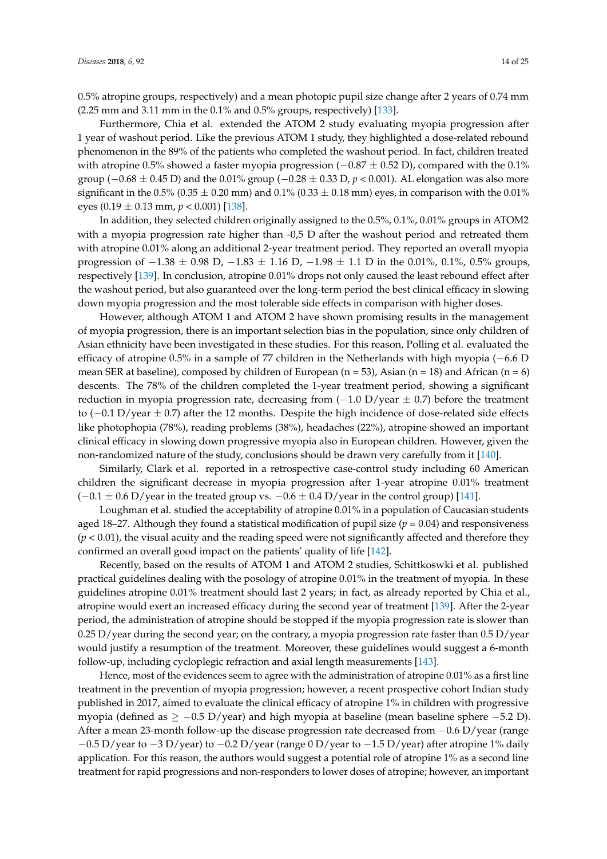0.5% atropine groups, respectively) and a mean photopic pupil size change after 2 years of 0.74 mm (2.25 mm and 3.11 mm in the 0.1% and 0.5% groups, respectively) [\[133\]](#page-23-12).

Furthermore, Chia et al. extended the ATOM 2 study evaluating myopia progression after 1 year of washout period. Like the previous ATOM 1 study, they highlighted a dose-related rebound phenomenon in the 89% of the patients who completed the washout period. In fact, children treated with atropine 0.5% showed a faster myopia progression ( $-0.87 \pm 0.52$  D), compared with the 0.1% group (−0.68 ± 0.45 D) and the 0.01% group (−0.28 ± 0.33 D, *p* < 0.001). AL elongation was also more significant in the 0.5% (0.35  $\pm$  0.20 mm) and 0.1% (0.33  $\pm$  0.18 mm) eyes, in comparison with the 0.01% eyes  $(0.19 \pm 0.13 \text{ mm}, p < 0.001)$  [\[138\]](#page-23-17).

In addition, they selected children originally assigned to the 0.5%, 0.1%, 0.01% groups in ATOM2 with a myopia progression rate higher than -0,5 D after the washout period and retreated them with atropine 0.01% along an additional 2-year treatment period. They reported an overall myopia progression of  $-1.38 \pm 0.98$  D,  $-1.83 \pm 1.16$  D,  $-1.98 \pm 1.1$  D in the 0.01%, 0.1%, 0.5% groups, respectively [\[139\]](#page-23-18). In conclusion, atropine 0.01% drops not only caused the least rebound effect after the washout period, but also guaranteed over the long-term period the best clinical efficacy in slowing down myopia progression and the most tolerable side effects in comparison with higher doses.

However, although ATOM 1 and ATOM 2 have shown promising results in the management of myopia progression, there is an important selection bias in the population, since only children of Asian ethnicity have been investigated in these studies. For this reason, Polling et al. evaluated the efficacy of atropine 0.5% in a sample of 77 children in the Netherlands with high myopia (−6.6 D mean SER at baseline), composed by children of European  $(n = 53)$ , Asian  $(n = 18)$  and African  $(n = 6)$ descents. The 78% of the children completed the 1-year treatment period, showing a significant reduction in myopia progression rate, decreasing from  $(-1.0 \text{ D}/\text{year} \pm 0.7)$  before the treatment to  $(-0.1 \text{ D/year} \pm 0.7)$  after the 12 months. Despite the high incidence of dose-related side effects like photophopia (78%), reading problems (38%), headaches (22%), atropine showed an important clinical efficacy in slowing down progressive myopia also in European children. However, given the non-randomized nature of the study, conclusions should be drawn very carefully from it [\[140\]](#page-23-19).

Similarly, Clark et al. reported in a retrospective case-control study including 60 American children the significant decrease in myopia progression after 1-year atropine 0.01% treatment  $(-0.1 \pm 0.6 \text{ D}/\text{year}$  in the treated group vs.  $-0.6 \pm 0.4 \text{ D}/\text{year}$  in the control group) [\[141\]](#page-23-20).

Loughman et al. studied the acceptability of atropine 0.01% in a population of Caucasian students aged 18–27. Although they found a statistical modification of pupil size  $(p = 0.04)$  and responsiveness (*p* < 0.01), the visual acuity and the reading speed were not significantly affected and therefore they confirmed an overall good impact on the patients' quality of life [\[142\]](#page-23-21).

Recently, based on the results of ATOM 1 and ATOM 2 studies, Schittkoswki et al. published practical guidelines dealing with the posology of atropine 0.01% in the treatment of myopia. In these guidelines atropine 0.01% treatment should last 2 years; in fact, as already reported by Chia et al., atropine would exert an increased efficacy during the second year of treatment [\[139\]](#page-23-18). After the 2-year period, the administration of atropine should be stopped if the myopia progression rate is slower than 0.25 D/year during the second year; on the contrary, a myopia progression rate faster than 0.5 D/year would justify a resumption of the treatment. Moreover, these guidelines would suggest a 6-month follow-up, including cycloplegic refraction and axial length measurements [\[143\]](#page-24-0).

Hence, most of the evidences seem to agree with the administration of atropine 0.01% as a first line treatment in the prevention of myopia progression; however, a recent prospective cohort Indian study published in 2017, aimed to evaluate the clinical efficacy of atropine 1% in children with progressive myopia (defined as  $\ge -0.5$  D/year) and high myopia at baseline (mean baseline sphere  $-5.2$  D). After a mean 23-month follow-up the disease progression rate decreased from −0.6 D/year (range  $-0.5$  D/year to  $-3$  D/year) to  $-0.2$  D/year (range 0 D/year to  $-1.5$  D/year) after atropine 1% daily application. For this reason, the authors would suggest a potential role of atropine 1% as a second line treatment for rapid progressions and non-responders to lower doses of atropine; however, an important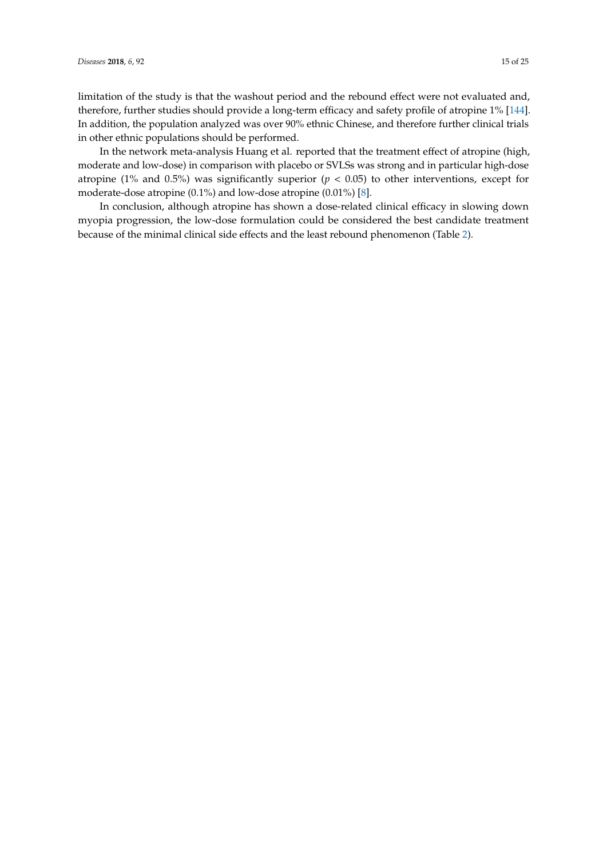limitation of the study is that the washout period and the rebound effect were not evaluated and, therefore, further studies should provide a long-term efficacy and safety profile of atropine 1% [\[144\]](#page-24-1). In addition, the population analyzed was over 90% ethnic Chinese, and therefore further clinical trials in other ethnic populations should be performed.

In the network meta-analysis Huang et al. reported that the treatment effect of atropine (high, moderate and low-dose) in comparison with placebo or SVLSs was strong and in particular high-dose atropine (1% and 0.5%) was significantly superior ( $p < 0.05$ ) to other interventions, except for moderate-dose atropine (0.1%) and low-dose atropine (0.01%) [\[8\]](#page-17-7).

In conclusion, although atropine has shown a dose-related clinical efficacy in slowing down myopia progression, the low-dose formulation could be considered the best candidate treatment because of the minimal clinical side effects and the least rebound phenomenon (Table [2\)](#page-15-0).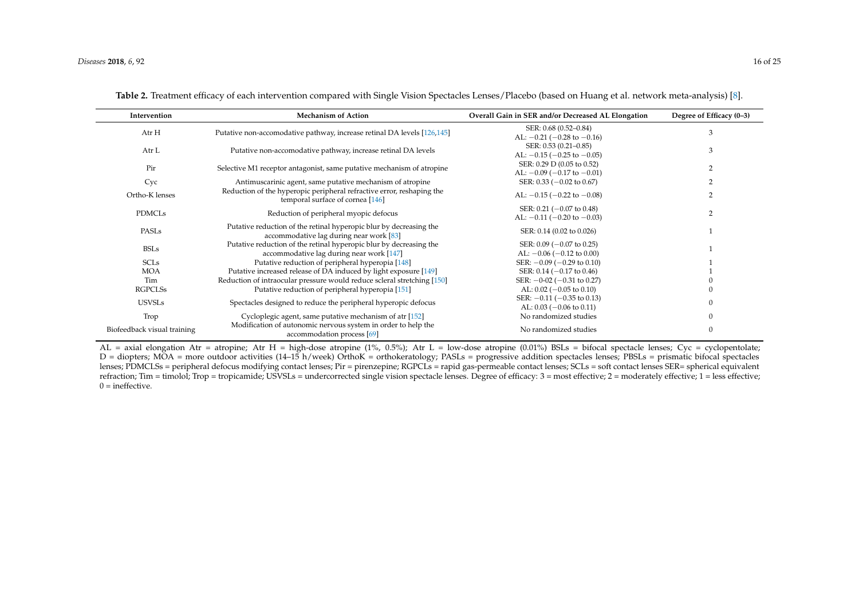| Intervention                | <b>Mechanism of Action</b>                                                                                    | Overall Gain in SER and/or Decreased AL Elongation | Degree of Efficacy (0-3) |  |
|-----------------------------|---------------------------------------------------------------------------------------------------------------|----------------------------------------------------|--------------------------|--|
| Atr H                       | Putative non-accomodative pathway, increase retinal DA levels [126,145]                                       | SER: 0.68 (0.52-0.84)                              | 3                        |  |
|                             |                                                                                                               | AL: $-0.21$ ( $-0.28$ to $-0.16$ )                 |                          |  |
| Atr L                       | Putative non-accomodative pathway, increase retinal DA levels                                                 | SER: 0.53 (0.21-0.85)                              | 3                        |  |
|                             |                                                                                                               | AL: $-0.15$ ( $-0.25$ to $-0.05$ )                 |                          |  |
| Pir                         | Selective M1 receptor antagonist, same putative mechanism of atropine                                         | SER: 0.29 D (0.05 to 0.52)                         |                          |  |
|                             |                                                                                                               | AL: $-0.09$ ( $-0.17$ to $-0.01$ )                 |                          |  |
| Cyc                         | Antimuscarinic agent, same putative mechanism of atropine                                                     | SER: $0.33$ ( $-0.02$ to $0.67$ )                  |                          |  |
| Ortho-K lenses              | Reduction of the hyperopic peripheral refractive error, reshaping the<br>temporal surface of cornea [146]     | AL: $-0.15$ ( $-0.22$ to $-0.08$ )                 |                          |  |
| <b>PDMCLs</b>               | Reduction of peripheral myopic defocus                                                                        | SER: $0.21$ (-0.07 to 0.48)                        |                          |  |
|                             |                                                                                                               | AL: $-0.11$ ( $-0.20$ to $-0.03$ )                 | $\overline{2}$           |  |
| PASLs                       | Putative reduction of the retinal hyperopic blur by decreasing the<br>accommodative lag during near work [83] | SER: 0.14 (0.02 to 0.026)                          |                          |  |
| <b>BSLs</b>                 | Putative reduction of the retinal hyperopic blur by decreasing the                                            | SER: $0.09$ ( $-0.07$ to 0.25)                     |                          |  |
|                             | accommodative lag during near work [147]                                                                      | AL: $-0.06$ ( $-0.12$ to 0.00)                     |                          |  |
| <b>SCLs</b>                 | Putative reduction of peripheral hyperopia [148]                                                              | SER: $-0.09$ ( $-0.29$ to 0.10)                    |                          |  |
| <b>MOA</b>                  | Putative increased release of DA induced by light exposure [149]                                              | SER: $0.14$ (-0.17 to 0.46)                        |                          |  |
| Tim                         | Reduction of intraocular pressure would reduce scleral stretching [150]                                       | SER: $-0.02$ ( $-0.31$ to 0.27)                    |                          |  |
| <b>RGPCLSs</b>              | Putative reduction of peripheral hyperopia [151]                                                              | AL: $0.02$ (-0.05 to 0.10)                         |                          |  |
| <b>USVSLs</b>               |                                                                                                               | SER: $-0.11$ ( $-0.35$ to 0.13)                    |                          |  |
|                             | Spectacles designed to reduce the peripheral hyperopic defocus                                                | AL: $0.03$ ( $-0.06$ to $0.11$ )                   |                          |  |
| Trop                        | Cycloplegic agent, same putative mechanism of atr [152]                                                       | No randomized studies                              | $\mathbf{0}$             |  |
| Biofeedback visual training | Modification of autonomic nervous system in order to help the<br>accommodation process [69]                   | No randomized studies                              | $\mathbf{0}$             |  |

|  |  |  | Table 2. Treatment efficacy of each intervention compared with Single Vision Spectacles Lenses/Placebo (based on Huang et al. network meta-analysis) [8]. |  |
|--|--|--|-----------------------------------------------------------------------------------------------------------------------------------------------------------|--|
|--|--|--|-----------------------------------------------------------------------------------------------------------------------------------------------------------|--|

<span id="page-15-0"></span> $AL = axial elongation At = atropine; At H = high-dose atropine (1%, 0.5%); At H = low-dose atropine (0.01%) BSLs = bifocal spectacle lenses; Cyc = cyclopentolate;$ D = diopters; MOA = more outdoor activities (14–15 h/week) OrthoK = orthokeratology; PASLs = progressive addition spectacles lenses; PBSLs = prismatic bifocal spectacles lenses; PDMCLSs = peripheral defocus modifying contact lenses; Pir = pirenzepine; RGPCLs = rapid gas-permeable contact lenses; SCLs = soft contact lenses SER= spherical equivalent refraction; Tim = timolol; Trop = tropicamide; USVSLs = undercorrected single vision spectacle lenses. Degree of efficacy: 3 = most effective; 2 = moderately effective; 1 = less effective; 1 = less effective; 1 = less effe  $0 =$  ineffective.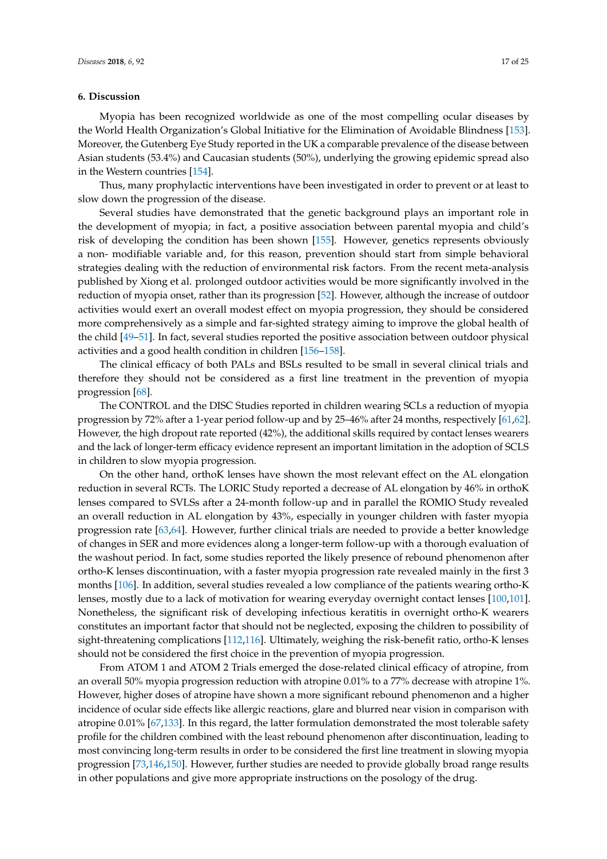## **6. Discussion**

Myopia has been recognized worldwide as one of the most compelling ocular diseases by the World Health Organization's Global Initiative for the Elimination of Avoidable Blindness [\[153\]](#page-24-10). Moreover, the Gutenberg Eye Study reported in the UK a comparable prevalence of the disease between Asian students (53.4%) and Caucasian students (50%), underlying the growing epidemic spread also in the Western countries [\[154\]](#page-24-11).

Thus, many prophylactic interventions have been investigated in order to prevent or at least to slow down the progression of the disease.

Several studies have demonstrated that the genetic background plays an important role in the development of myopia; in fact, a positive association between parental myopia and child's risk of developing the condition has been shown [\[155\]](#page-24-12). However, genetics represents obviously a non- modifiable variable and, for this reason, prevention should start from simple behavioral strategies dealing with the reduction of environmental risk factors. From the recent meta-analysis published by Xiong et al. prolonged outdoor activities would be more significantly involved in the reduction of myopia onset, rather than its progression [\[52\]](#page-19-17). However, although the increase of outdoor activities would exert an overall modest effect on myopia progression, they should be considered more comprehensively as a simple and far-sighted strategy aiming to improve the global health of the child [\[49](#page-19-14)[–51\]](#page-19-16). In fact, several studies reported the positive association between outdoor physical activities and a good health condition in children [\[156–](#page-24-13)[158\]](#page-24-14).

The clinical efficacy of both PALs and BSLs resulted to be small in several clinical trials and therefore they should not be considered as a first line treatment in the prevention of myopia progression [\[68\]](#page-20-20).

The CONTROL and the DISC Studies reported in children wearing SCLs a reduction of myopia progression by 72% after a 1-year period follow-up and by 25–46% after 24 months, respectively [\[61](#page-20-22)[,62\]](#page-20-21). However, the high dropout rate reported (42%), the additional skills required by contact lenses wearers and the lack of longer-term efficacy evidence represent an important limitation in the adoption of SCLS in children to slow myopia progression.

On the other hand, orthoK lenses have shown the most relevant effect on the AL elongation reduction in several RCTs. The LORIC Study reported a decrease of AL elongation by 46% in orthoK lenses compared to SVLSs after a 24-month follow-up and in parallel the ROMIO Study revealed an overall reduction in AL elongation by 43%, especially in younger children with faster myopia progression rate [\[63](#page-20-23)[,64\]](#page-20-24). However, further clinical trials are needed to provide a better knowledge of changes in SER and more evidences along a longer-term follow-up with a thorough evaluation of the washout period. In fact, some studies reported the likely presence of rebound phenomenon after ortho-K lenses discontinuation, with a faster myopia progression rate revealed mainly in the first 3 months [\[106\]](#page-22-9). In addition, several studies revealed a low compliance of the patients wearing ortho-K lenses, mostly due to a lack of motivation for wearing everyday overnight contact lenses [\[100,](#page-22-3)[101\]](#page-22-4). Nonetheless, the significant risk of developing infectious keratitis in overnight ortho-K wearers constitutes an important factor that should not be neglected, exposing the children to possibility of sight-threatening complications [\[112](#page-22-11)[,116\]](#page-22-15). Ultimately, weighing the risk-benefit ratio, ortho-K lenses should not be considered the first choice in the prevention of myopia progression.

From ATOM 1 and ATOM 2 Trials emerged the dose-related clinical efficacy of atropine, from an overall 50% myopia progression reduction with atropine 0.01% to a 77% decrease with atropine 1%. However, higher doses of atropine have shown a more significant rebound phenomenon and a higher incidence of ocular side effects like allergic reactions, glare and blurred near vision in comparison with atropine 0.01% [\[67](#page-20-27)[,133\]](#page-23-12). In this regard, the latter formulation demonstrated the most tolerable safety profile for the children combined with the least rebound phenomenon after discontinuation, leading to most convincing long-term results in order to be considered the first line treatment in slowing myopia progression [\[73](#page-20-17)[,146,](#page-24-15)[150\]](#page-24-16). However, further studies are needed to provide globally broad range results in other populations and give more appropriate instructions on the posology of the drug.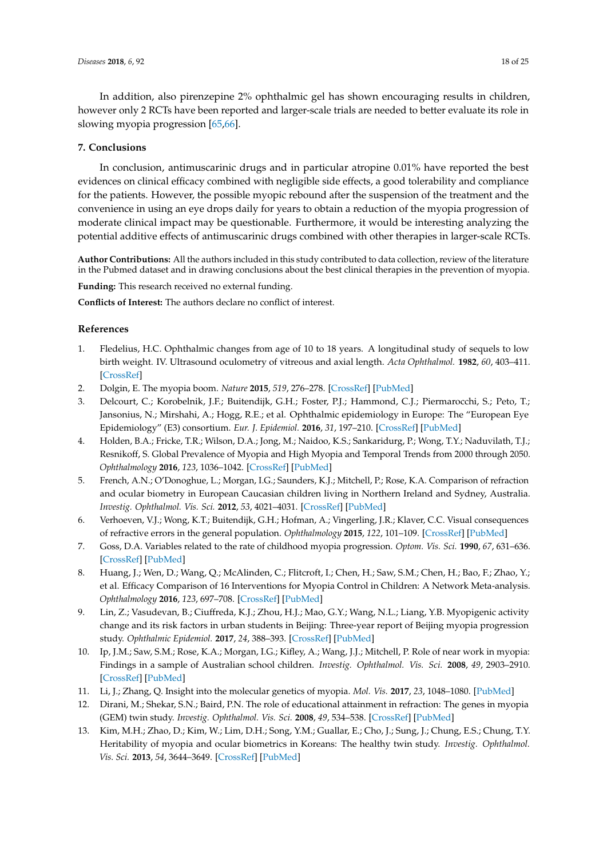In addition, also pirenzepine 2% ophthalmic gel has shown encouraging results in children, however only 2 RCTs have been reported and larger-scale trials are needed to better evaluate its role in slowing myopia progression [\[65](#page-20-25)[,66\]](#page-20-26).

# **7. Conclusions**

In conclusion, antimuscarinic drugs and in particular atropine 0.01% have reported the best evidences on clinical efficacy combined with negligible side effects, a good tolerability and compliance for the patients. However, the possible myopic rebound after the suspension of the treatment and the convenience in using an eye drops daily for years to obtain a reduction of the myopia progression of moderate clinical impact may be questionable. Furthermore, it would be interesting analyzing the potential additive effects of antimuscarinic drugs combined with other therapies in larger-scale RCTs.

**Author Contributions:** All the authors included in this study contributed to data collection, review of the literature in the Pubmed dataset and in drawing conclusions about the best clinical therapies in the prevention of myopia.

**Funding:** This research received no external funding.

<span id="page-17-12"></span>**Conflicts of Interest:** The authors declare no conflict of interest.

# **References**

- <span id="page-17-0"></span>1. Fledelius, H.C. Ophthalmic changes from age of 10 to 18 years. A longitudinal study of sequels to low birth weight. IV. Ultrasound oculometry of vitreous and axial length. *Acta Ophthalmol.* **1982**, *60*, 403–411. [\[CrossRef\]](http://dx.doi.org/10.1111/j.1755-3768.1982.tb03031.x)
- <span id="page-17-1"></span>2. Dolgin, E. The myopia boom. *Nature* **2015**, *519*, 276–278. [\[CrossRef\]](http://dx.doi.org/10.1038/519276a) [\[PubMed\]](http://www.ncbi.nlm.nih.gov/pubmed/25788077)
- <span id="page-17-2"></span>3. Delcourt, C.; Korobelnik, J.F.; Buitendijk, G.H.; Foster, P.J.; Hammond, C.J.; Piermarocchi, S.; Peto, T.; Jansonius, N.; Mirshahi, A.; Hogg, R.E.; et al. Ophthalmic epidemiology in Europe: The "European Eye Epidemiology" (E3) consortium. *Eur. J. Epidemiol.* **2016**, *31*, 197–210. [\[CrossRef\]](http://dx.doi.org/10.1007/s10654-015-0098-2) [\[PubMed\]](http://www.ncbi.nlm.nih.gov/pubmed/26686680)
- <span id="page-17-3"></span>4. Holden, B.A.; Fricke, T.R.; Wilson, D.A.; Jong, M.; Naidoo, K.S.; Sankaridurg, P.; Wong, T.Y.; Naduvilath, T.J.; Resnikoff, S. Global Prevalence of Myopia and High Myopia and Temporal Trends from 2000 through 2050. *Ophthalmology* **2016**, *123*, 1036–1042. [\[CrossRef\]](http://dx.doi.org/10.1016/j.ophtha.2016.01.006) [\[PubMed\]](http://www.ncbi.nlm.nih.gov/pubmed/26875007)
- <span id="page-17-4"></span>5. French, A.N.; O'Donoghue, L.; Morgan, I.G.; Saunders, K.J.; Mitchell, P.; Rose, K.A. Comparison of refraction and ocular biometry in European Caucasian children living in Northern Ireland and Sydney, Australia. *Investig. Ophthalmol. Vis. Sci.* **2012**, *53*, 4021–4031. [\[CrossRef\]](http://dx.doi.org/10.1167/iovs.12-9556) [\[PubMed\]](http://www.ncbi.nlm.nih.gov/pubmed/22562516)
- <span id="page-17-5"></span>6. Verhoeven, V.J.; Wong, K.T.; Buitendijk, G.H.; Hofman, A.; Vingerling, J.R.; Klaver, C.C. Visual consequences of refractive errors in the general population. *Ophthalmology* **2015**, *122*, 101–109. [\[CrossRef\]](http://dx.doi.org/10.1016/j.ophtha.2014.07.030) [\[PubMed\]](http://www.ncbi.nlm.nih.gov/pubmed/25208857)
- <span id="page-17-6"></span>7. Goss, D.A. Variables related to the rate of childhood myopia progression. *Optom. Vis. Sci.* **1990**, *67*, 631–636. [\[CrossRef\]](http://dx.doi.org/10.1097/00006324-199008000-00014) [\[PubMed\]](http://www.ncbi.nlm.nih.gov/pubmed/2216332)
- <span id="page-17-7"></span>8. Huang, J.; Wen, D.; Wang, Q.; McAlinden, C.; Flitcroft, I.; Chen, H.; Saw, S.M.; Chen, H.; Bao, F.; Zhao, Y.; et al. Efficacy Comparison of 16 Interventions for Myopia Control in Children: A Network Meta-analysis. *Ophthalmology* **2016**, *123*, 697–708. [\[CrossRef\]](http://dx.doi.org/10.1016/j.ophtha.2015.11.010) [\[PubMed\]](http://www.ncbi.nlm.nih.gov/pubmed/26826749)
- <span id="page-17-8"></span>9. Lin, Z.; Vasudevan, B.; Ciuffreda, K.J.; Zhou, H.J.; Mao, G.Y.; Wang, N.L.; Liang, Y.B. Myopigenic activity change and its risk factors in urban students in Beijing: Three-year report of Beijing myopia progression study. *Ophthalmic Epidemiol.* **2017**, *24*, 388–393. [\[CrossRef\]](http://dx.doi.org/10.1080/09286586.2017.1307994) [\[PubMed\]](http://www.ncbi.nlm.nih.gov/pubmed/28426334)
- <span id="page-17-9"></span>10. Ip, J.M.; Saw, S.M.; Rose, K.A.; Morgan, I.G.; Kifley, A.; Wang, J.J.; Mitchell, P. Role of near work in myopia: Findings in a sample of Australian school children. *Investig. Ophthalmol. Vis. Sci.* **2008**, *49*, 2903–2910. [\[CrossRef\]](http://dx.doi.org/10.1167/iovs.07-0804) [\[PubMed\]](http://www.ncbi.nlm.nih.gov/pubmed/18579757)
- <span id="page-17-10"></span>11. Li, J.; Zhang, Q. Insight into the molecular genetics of myopia. *Mol. Vis.* **2017**, *23*, 1048–1080. [\[PubMed\]](http://www.ncbi.nlm.nih.gov/pubmed/29386878)
- <span id="page-17-11"></span>12. Dirani, M.; Shekar, S.N.; Baird, P.N. The role of educational attainment in refraction: The genes in myopia (GEM) twin study. *Investig. Ophthalmol. Vis. Sci.* **2008**, *49*, 534–538. [\[CrossRef\]](http://dx.doi.org/10.1167/iovs.07-1123) [\[PubMed\]](http://www.ncbi.nlm.nih.gov/pubmed/18234996)
- 13. Kim, M.H.; Zhao, D.; Kim, W.; Lim, D.H.; Song, Y.M.; Guallar, E.; Cho, J.; Sung, J.; Chung, E.S.; Chung, T.Y. Heritability of myopia and ocular biometrics in Koreans: The healthy twin study. *Investig. Ophthalmol. Vis. Sci.* **2013**, *54*, 3644–3649. [\[CrossRef\]](http://dx.doi.org/10.1167/iovs.12-11254) [\[PubMed\]](http://www.ncbi.nlm.nih.gov/pubmed/23620424)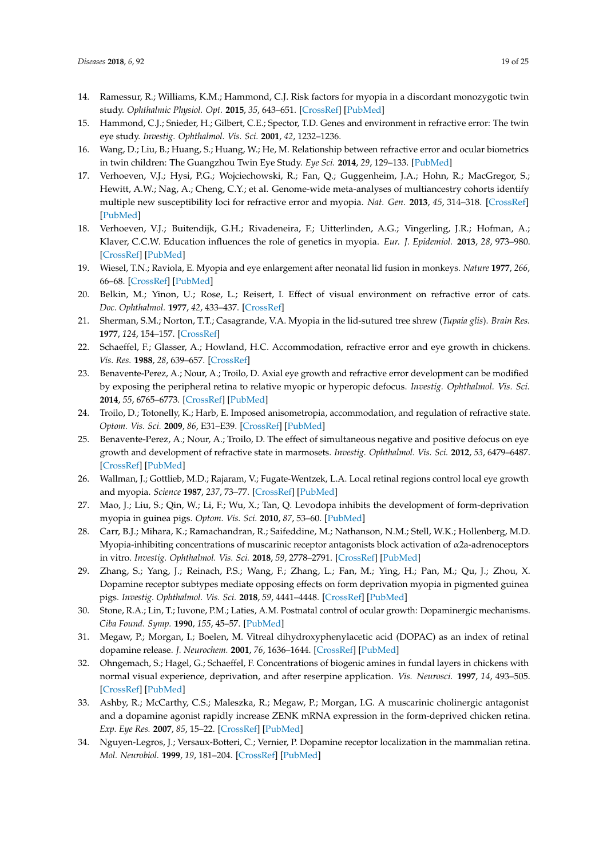- <span id="page-18-0"></span>14. Ramessur, R.; Williams, K.M.; Hammond, C.J. Risk factors for myopia in a discordant monozygotic twin study. *Ophthalmic Physiol. Opt.* **2015**, *35*, 643–651. [\[CrossRef\]](http://dx.doi.org/10.1111/opo.12246) [\[PubMed\]](http://www.ncbi.nlm.nih.gov/pubmed/26376775)
- <span id="page-18-1"></span>15. Hammond, C.J.; Snieder, H.; Gilbert, C.E.; Spector, T.D. Genes and environment in refractive error: The twin eye study. *Investig. Ophthalmol. Vis. Sci.* **2001**, *42*, 1232–1236.
- <span id="page-18-2"></span>16. Wang, D.; Liu, B.; Huang, S.; Huang, W.; He, M. Relationship between refractive error and ocular biometrics in twin children: The Guangzhou Twin Eye Study. *Eye Sci.* **2014**, *29*, 129–133. [\[PubMed\]](http://www.ncbi.nlm.nih.gov/pubmed/26011966)
- <span id="page-18-3"></span>17. Verhoeven, V.J.; Hysi, P.G.; Wojciechowski, R.; Fan, Q.; Guggenheim, J.A.; Hohn, R.; MacGregor, S.; Hewitt, A.W.; Nag, A.; Cheng, C.Y.; et al. Genome-wide meta-analyses of multiancestry cohorts identify multiple new susceptibility loci for refractive error and myopia. *Nat. Gen.* **2013**, *45*, 314–318. [\[CrossRef\]](http://dx.doi.org/10.1038/ng.2554) [\[PubMed\]](http://www.ncbi.nlm.nih.gov/pubmed/23396134)
- <span id="page-18-4"></span>18. Verhoeven, V.J.; Buitendijk, G.H.; Rivadeneira, F.; Uitterlinden, A.G.; Vingerling, J.R.; Hofman, A.; Klaver, C.C.W. Education influences the role of genetics in myopia. *Eur. J. Epidemiol.* **2013**, *28*, 973–980. [\[CrossRef\]](http://dx.doi.org/10.1007/s10654-013-9856-1) [\[PubMed\]](http://www.ncbi.nlm.nih.gov/pubmed/24142238)
- <span id="page-18-5"></span>19. Wiesel, T.N.; Raviola, E. Myopia and eye enlargement after neonatal lid fusion in monkeys. *Nature* **1977**, *266*, 66–68. [\[CrossRef\]](http://dx.doi.org/10.1038/266066a0) [\[PubMed\]](http://www.ncbi.nlm.nih.gov/pubmed/402582)
- <span id="page-18-6"></span>20. Belkin, M.; Yinon, U.; Rose, L.; Reisert, I. Effect of visual environment on refractive error of cats. *Doc. Ophthalmol.* **1977**, *42*, 433–437. [\[CrossRef\]](http://dx.doi.org/10.1007/BF02742259)
- 21. Sherman, S.M.; Norton, T.T.; Casagrande, V.A. Myopia in the lid-sutured tree shrew (*Tupaia glis*). *Brain Res.* **1977**, *124*, 154–157. [\[CrossRef\]](http://dx.doi.org/10.1016/0006-8993(77)90872-1)
- <span id="page-18-7"></span>22. Schaeffel, F.; Glasser, A.; Howland, H.C. Accommodation, refractive error and eye growth in chickens. *Vis. Res.* **1988**, *28*, 639–657. [\[CrossRef\]](http://dx.doi.org/10.1016/0042-6989(88)90113-7)
- <span id="page-18-8"></span>23. Benavente-Perez, A.; Nour, A.; Troilo, D. Axial eye growth and refractive error development can be modified by exposing the peripheral retina to relative myopic or hyperopic defocus. *Investig. Ophthalmol. Vis. Sci.* **2014**, *55*, 6765–6773. [\[CrossRef\]](http://dx.doi.org/10.1167/iovs.14-14524) [\[PubMed\]](http://www.ncbi.nlm.nih.gov/pubmed/25190657)
- <span id="page-18-9"></span>24. Troilo, D.; Totonelly, K.; Harb, E. Imposed anisometropia, accommodation, and regulation of refractive state. *Optom. Vis. Sci.* **2009**, *86*, E31–E39. [\[CrossRef\]](http://dx.doi.org/10.1097/OPX.0b013e318194072e) [\[PubMed\]](http://www.ncbi.nlm.nih.gov/pubmed/19104464)
- <span id="page-18-10"></span>25. Benavente-Perez, A.; Nour, A.; Troilo, D. The effect of simultaneous negative and positive defocus on eye growth and development of refractive state in marmosets. *Investig. Ophthalmol. Vis. Sci.* **2012**, *53*, 6479–6487. [\[CrossRef\]](http://dx.doi.org/10.1167/iovs.12-9822) [\[PubMed\]](http://www.ncbi.nlm.nih.gov/pubmed/22918633)
- <span id="page-18-11"></span>26. Wallman, J.; Gottlieb, M.D.; Rajaram, V.; Fugate-Wentzek, L.A. Local retinal regions control local eye growth and myopia. *Science* **1987**, *237*, 73–77. [\[CrossRef\]](http://dx.doi.org/10.1126/science.3603011) [\[PubMed\]](http://www.ncbi.nlm.nih.gov/pubmed/3603011)
- <span id="page-18-12"></span>27. Mao, J.; Liu, S.; Qin, W.; Li, F.; Wu, X.; Tan, Q. Levodopa inhibits the development of form-deprivation myopia in guinea pigs. *Optom. Vis. Sci.* **2010**, *87*, 53–60. [\[PubMed\]](http://www.ncbi.nlm.nih.gov/pubmed/19901858)
- <span id="page-18-19"></span>28. Carr, B.J.; Mihara, K.; Ramachandran, R.; Saifeddine, M.; Nathanson, N.M.; Stell, W.K.; Hollenberg, M.D. Myopia-inhibiting concentrations of muscarinic receptor antagonists block activation of α2a-adrenoceptors in vitro. *Investig. Ophthalmol. Vis. Sci.* **2018**, *59*, 2778–2791. [\[CrossRef\]](http://dx.doi.org/10.1167/iovs.17-22562) [\[PubMed\]](http://www.ncbi.nlm.nih.gov/pubmed/29860464)
- <span id="page-18-13"></span>29. Zhang, S.; Yang, J.; Reinach, P.S.; Wang, F.; Zhang, L.; Fan, M.; Ying, H.; Pan, M.; Qu, J.; Zhou, X. Dopamine receptor subtypes mediate opposing effects on form deprivation myopia in pigmented guinea pigs. *Investig. Ophthalmol. Vis. Sci.* **2018**, *59*, 4441–4448. [\[CrossRef\]](http://dx.doi.org/10.1167/iovs.17-21574) [\[PubMed\]](http://www.ncbi.nlm.nih.gov/pubmed/30193315)
- <span id="page-18-14"></span>30. Stone, R.A.; Lin, T.; Iuvone, P.M.; Laties, A.M. Postnatal control of ocular growth: Dopaminergic mechanisms. *Ciba Found. Symp.* **1990**, *155*, 45–57. [\[PubMed\]](http://www.ncbi.nlm.nih.gov/pubmed/2088680)
- <span id="page-18-15"></span>31. Megaw, P.; Morgan, I.; Boelen, M. Vitreal dihydroxyphenylacetic acid (DOPAC) as an index of retinal dopamine release. *J. Neurochem.* **2001**, *76*, 1636–1644. [\[CrossRef\]](http://dx.doi.org/10.1046/j.1471-4159.2001.00145.x) [\[PubMed\]](http://www.ncbi.nlm.nih.gov/pubmed/11259481)
- <span id="page-18-16"></span>32. Ohngemach, S.; Hagel, G.; Schaeffel, F. Concentrations of biogenic amines in fundal layers in chickens with normal visual experience, deprivation, and after reserpine application. *Vis. Neurosci.* **1997**, *14*, 493–505. [\[CrossRef\]](http://dx.doi.org/10.1017/S0952523800012153) [\[PubMed\]](http://www.ncbi.nlm.nih.gov/pubmed/9194316)
- <span id="page-18-17"></span>33. Ashby, R.; McCarthy, C.S.; Maleszka, R.; Megaw, P.; Morgan, I.G. A muscarinic cholinergic antagonist and a dopamine agonist rapidly increase ZENK mRNA expression in the form-deprived chicken retina. *Exp. Eye Res.* **2007**, *85*, 15–22. [\[CrossRef\]](http://dx.doi.org/10.1016/j.exer.2007.02.019) [\[PubMed\]](http://www.ncbi.nlm.nih.gov/pubmed/17498696)
- <span id="page-18-18"></span>34. Nguyen-Legros, J.; Versaux-Botteri, C.; Vernier, P. Dopamine receptor localization in the mammalian retina. *Mol. Neurobiol.* **1999**, *19*, 181–204. [\[CrossRef\]](http://dx.doi.org/10.1007/BF02821713) [\[PubMed\]](http://www.ncbi.nlm.nih.gov/pubmed/10495103)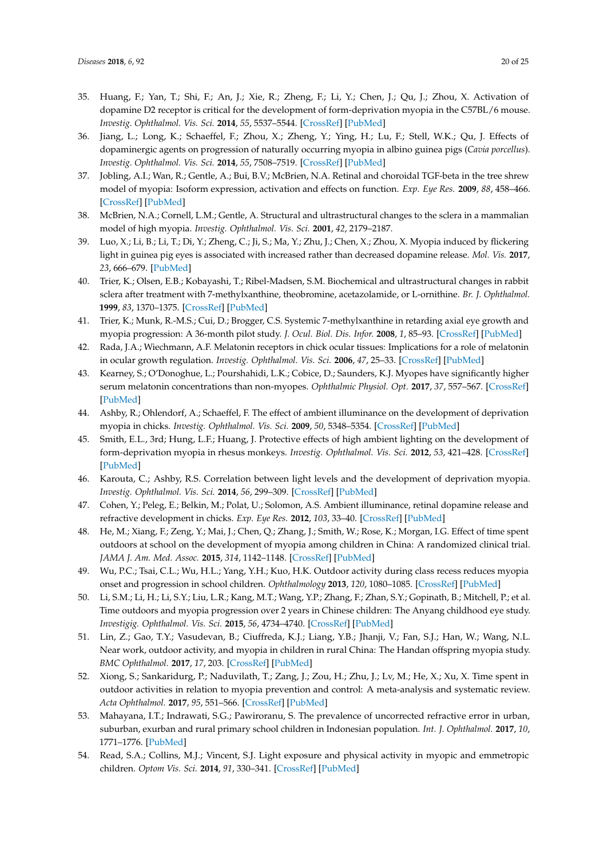- <span id="page-19-0"></span>35. Huang, F.; Yan, T.; Shi, F.; An, J.; Xie, R.; Zheng, F.; Li, Y.; Chen, J.; Qu, J.; Zhou, X. Activation of dopamine D2 receptor is critical for the development of form-deprivation myopia in the C57BL/6 mouse. *Investig. Ophthalmol. Vis. Sci.* **2014**, *55*, 5537–5544. [\[CrossRef\]](http://dx.doi.org/10.1167/iovs.13-13211) [\[PubMed\]](http://www.ncbi.nlm.nih.gov/pubmed/25097246)
- <span id="page-19-1"></span>36. Jiang, L.; Long, K.; Schaeffel, F.; Zhou, X.; Zheng, Y.; Ying, H.; Lu, F.; Stell, W.K.; Qu, J. Effects of dopaminergic agents on progression of naturally occurring myopia in albino guinea pigs (*Cavia porcellus*). *Investig. Ophthalmol. Vis. Sci.* **2014**, *55*, 7508–7519. [\[CrossRef\]](http://dx.doi.org/10.1167/iovs.14-14294) [\[PubMed\]](http://www.ncbi.nlm.nih.gov/pubmed/25270191)
- <span id="page-19-2"></span>37. Jobling, A.I.; Wan, R.; Gentle, A.; Bui, B.V.; McBrien, N.A. Retinal and choroidal TGF-beta in the tree shrew model of myopia: Isoform expression, activation and effects on function. *Exp. Eye Res.* **2009**, *88*, 458–466. [\[CrossRef\]](http://dx.doi.org/10.1016/j.exer.2008.10.022) [\[PubMed\]](http://www.ncbi.nlm.nih.gov/pubmed/19046968)
- <span id="page-19-3"></span>38. McBrien, N.A.; Cornell, L.M.; Gentle, A. Structural and ultrastructural changes to the sclera in a mammalian model of high myopia. *Investig. Ophthalmol. Vis. Sci.* **2001**, *42*, 2179–2187.
- <span id="page-19-4"></span>39. Luo, X.; Li, B.; Li, T.; Di, Y.; Zheng, C.; Ji, S.; Ma, Y.; Zhu, J.; Chen, X.; Zhou, X. Myopia induced by flickering light in guinea pig eyes is associated with increased rather than decreased dopamine release. *Mol. Vis.* **2017**, *23*, 666–679. [\[PubMed\]](http://www.ncbi.nlm.nih.gov/pubmed/28966549)
- <span id="page-19-5"></span>40. Trier, K.; Olsen, E.B.; Kobayashi, T.; Ribel-Madsen, S.M. Biochemical and ultrastructural changes in rabbit sclera after treatment with 7-methylxanthine, theobromine, acetazolamide, or L-ornithine. *Br. J. Ophthalmol.* **1999**, *83*, 1370–1375. [\[CrossRef\]](http://dx.doi.org/10.1136/bjo.83.12.1370) [\[PubMed\]](http://www.ncbi.nlm.nih.gov/pubmed/10574816)
- <span id="page-19-6"></span>41. Trier, K.; Munk, R.-M.S.; Cui, D.; Brogger, C.S. Systemic 7-methylxanthine in retarding axial eye growth and myopia progression: A 36-month pilot study. *J. Ocul. Biol. Dis. Infor.* **2008**, *1*, 85–93. [\[CrossRef\]](http://dx.doi.org/10.1007/s12177-008-9013-3) [\[PubMed\]](http://www.ncbi.nlm.nih.gov/pubmed/20072638)
- <span id="page-19-7"></span>42. Rada, J.A.; Wiechmann, A.F. Melatonin receptors in chick ocular tissues: Implications for a role of melatonin in ocular growth regulation. *Investig. Ophthalmol. Vis. Sci.* **2006**, *47*, 25–33. [\[CrossRef\]](http://dx.doi.org/10.1167/iovs.05-0195) [\[PubMed\]](http://www.ncbi.nlm.nih.gov/pubmed/16384940)
- <span id="page-19-8"></span>43. Kearney, S.; O'Donoghue, L.; Pourshahidi, L.K.; Cobice, D.; Saunders, K.J. Myopes have significantly higher serum melatonin concentrations than non-myopes. *Ophthalmic Physiol. Opt.* **2017**, *37*, 557–567. [\[CrossRef\]](http://dx.doi.org/10.1111/opo.12396) [\[PubMed\]](http://www.ncbi.nlm.nih.gov/pubmed/28721695)
- <span id="page-19-9"></span>44. Ashby, R.; Ohlendorf, A.; Schaeffel, F. The effect of ambient illuminance on the development of deprivation myopia in chicks. *Investig. Ophthalmol. Vis. Sci.* **2009**, *50*, 5348–5354. [\[CrossRef\]](http://dx.doi.org/10.1167/iovs.09-3419) [\[PubMed\]](http://www.ncbi.nlm.nih.gov/pubmed/19516016)
- <span id="page-19-10"></span>45. Smith, E.L., 3rd; Hung, L.F.; Huang, J. Protective effects of high ambient lighting on the development of form-deprivation myopia in rhesus monkeys. *Investig. Ophthalmol. Vis. Sci.* **2012**, *53*, 421–428. [\[CrossRef\]](http://dx.doi.org/10.1167/iovs.11-8652) [\[PubMed\]](http://www.ncbi.nlm.nih.gov/pubmed/22169102)
- <span id="page-19-11"></span>46. Karouta, C.; Ashby, R.S. Correlation between light levels and the development of deprivation myopia. *Investig. Ophthalmol. Vis. Sci.* **2014**, *56*, 299–309. [\[CrossRef\]](http://dx.doi.org/10.1167/iovs.14-15499) [\[PubMed\]](http://www.ncbi.nlm.nih.gov/pubmed/25491298)
- <span id="page-19-12"></span>47. Cohen, Y.; Peleg, E.; Belkin, M.; Polat, U.; Solomon, A.S. Ambient illuminance, retinal dopamine release and refractive development in chicks. *Exp. Eye Res.* **2012**, *103*, 33–40. [\[CrossRef\]](http://dx.doi.org/10.1016/j.exer.2012.08.004) [\[PubMed\]](http://www.ncbi.nlm.nih.gov/pubmed/22960317)
- <span id="page-19-13"></span>48. He, M.; Xiang, F.; Zeng, Y.; Mai, J.; Chen, Q.; Zhang, J.; Smith, W.; Rose, K.; Morgan, I.G. Effect of time spent outdoors at school on the development of myopia among children in China: A randomized clinical trial. *JAMA J. Am. Med. Assoc.* **2015**, *314*, 1142–1148. [\[CrossRef\]](http://dx.doi.org/10.1001/jama.2015.10803) [\[PubMed\]](http://www.ncbi.nlm.nih.gov/pubmed/26372583)
- <span id="page-19-14"></span>49. Wu, P.C.; Tsai, C.L.; Wu, H.L.; Yang, Y.H.; Kuo, H.K. Outdoor activity during class recess reduces myopia onset and progression in school children. *Ophthalmology* **2013**, *120*, 1080–1085. [\[CrossRef\]](http://dx.doi.org/10.1016/j.ophtha.2012.11.009) [\[PubMed\]](http://www.ncbi.nlm.nih.gov/pubmed/23462271)
- <span id="page-19-15"></span>50. Li, S.M.; Li, H.; Li, S.Y.; Liu, L.R.; Kang, M.T.; Wang, Y.P.; Zhang, F.; Zhan, S.Y.; Gopinath, B.; Mitchell, P.; et al. Time outdoors and myopia progression over 2 years in Chinese children: The Anyang childhood eye study. *Investigig. Ophthalmol. Vis. Sci.* **2015**, *56*, 4734–4740. [\[CrossRef\]](http://dx.doi.org/10.1167/iovs.14-15474) [\[PubMed\]](http://www.ncbi.nlm.nih.gov/pubmed/26207310)
- <span id="page-19-16"></span>51. Lin, Z.; Gao, T.Y.; Vasudevan, B.; Ciuffreda, K.J.; Liang, Y.B.; Jhanji, V.; Fan, S.J.; Han, W.; Wang, N.L. Near work, outdoor activity, and myopia in children in rural China: The Handan offspring myopia study. *BMC Ophthalmol.* **2017**, *17*, 203. [\[CrossRef\]](http://dx.doi.org/10.1186/s12886-017-0598-9) [\[PubMed\]](http://www.ncbi.nlm.nih.gov/pubmed/29149871)
- <span id="page-19-17"></span>52. Xiong, S.; Sankaridurg, P.; Naduvilath, T.; Zang, J.; Zou, H.; Zhu, J.; Lv, M.; He, X.; Xu, X. Time spent in outdoor activities in relation to myopia prevention and control: A meta-analysis and systematic review. *Acta Ophthalmol.* **2017**, *95*, 551–566. [\[CrossRef\]](http://dx.doi.org/10.1111/aos.13403) [\[PubMed\]](http://www.ncbi.nlm.nih.gov/pubmed/28251836)
- <span id="page-19-18"></span>53. Mahayana, I.T.; Indrawati, S.G.; Pawiroranu, S. The prevalence of uncorrected refractive error in urban, suburban, exurban and rural primary school children in Indonesian population. *Int. J. Ophthalmol.* **2017**, *10*, 1771–1776. [\[PubMed\]](http://www.ncbi.nlm.nih.gov/pubmed/29181324)
- <span id="page-19-19"></span>54. Read, S.A.; Collins, M.J.; Vincent, S.J. Light exposure and physical activity in myopic and emmetropic children. *Optom Vis. Sci.* **2014**, *91*, 330–341. [\[CrossRef\]](http://dx.doi.org/10.1097/OPX.0000000000000160) [\[PubMed\]](http://www.ncbi.nlm.nih.gov/pubmed/24413273)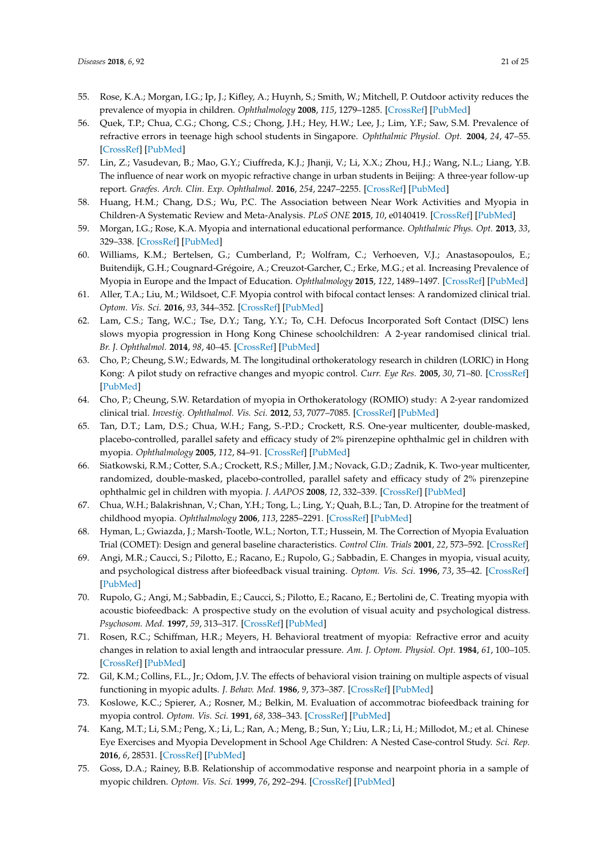- <span id="page-20-8"></span><span id="page-20-7"></span><span id="page-20-6"></span><span id="page-20-0"></span>55. Rose, K.A.; Morgan, I.G.; Ip, J.; Kifley, A.; Huynh, S.; Smith, W.; Mitchell, P. Outdoor activity reduces the prevalence of myopia in children. *Ophthalmology* **2008**, *115*, 1279–1285. [\[CrossRef\]](http://dx.doi.org/10.1016/j.ophtha.2007.12.019) [\[PubMed\]](http://www.ncbi.nlm.nih.gov/pubmed/18294691)
- <span id="page-20-1"></span>56. Quek, T.P.; Chua, C.G.; Chong, C.S.; Chong, J.H.; Hey, H.W.; Lee, J.; Lim, Y.F.; Saw, S.M. Prevalence of refractive errors in teenage high school students in Singapore. *Ophthalmic Physiol. Opt.* **2004**, *24*, 47–55. [\[CrossRef\]](http://dx.doi.org/10.1046/j.1475-1313.2003.00166.x) [\[PubMed\]](http://www.ncbi.nlm.nih.gov/pubmed/14687201)
- <span id="page-20-10"></span><span id="page-20-9"></span><span id="page-20-2"></span>57. Lin, Z.; Vasudevan, B.; Mao, G.Y.; Ciuffreda, K.J.; Jhanji, V.; Li, X.X.; Zhou, H.J.; Wang, N.L.; Liang, Y.B. The influence of near work on myopic refractive change in urban students in Beijing: A three-year follow-up report. *Graefes. Arch. Clin. Exp. Ophthalmol.* **2016**, *254*, 2247–2255. [\[CrossRef\]](http://dx.doi.org/10.1007/s00417-016-3440-9) [\[PubMed\]](http://www.ncbi.nlm.nih.gov/pubmed/27460281)
- <span id="page-20-11"></span><span id="page-20-3"></span>58. Huang, H.M.; Chang, D.S.; Wu, P.C. The Association between Near Work Activities and Myopia in Children-A Systematic Review and Meta-Analysis. *PLoS ONE* **2015**, *10*, e0140419. [\[CrossRef\]](http://dx.doi.org/10.1371/journal.pone.0140419) [\[PubMed\]](http://www.ncbi.nlm.nih.gov/pubmed/26485393)
- <span id="page-20-4"></span>59. Morgan, I.G.; Rose, K.A. Myopia and international educational performance. *Ophthalmic Phys. Opt.* **2013**, *33*, 329–338. [\[CrossRef\]](http://dx.doi.org/10.1111/opo.12040) [\[PubMed\]](http://www.ncbi.nlm.nih.gov/pubmed/23662964)
- <span id="page-20-12"></span><span id="page-20-5"></span>60. Williams, K.M.; Bertelsen, G.; Cumberland, P.; Wolfram, C.; Verhoeven, V.J.; Anastasopoulos, E.; Buitendijk, G.H.; Cougnard-Grégoire, A.; Creuzot-Garcher, C.; Erke, M.G.; et al. Increasing Prevalence of Myopia in Europe and the Impact of Education. *Ophthalmology* **2015**, *122*, 1489–1497. [\[CrossRef\]](http://dx.doi.org/10.1016/j.ophtha.2015.03.018) [\[PubMed\]](http://www.ncbi.nlm.nih.gov/pubmed/25983215)
- <span id="page-20-28"></span><span id="page-20-22"></span><span id="page-20-13"></span>61. Aller, T.A.; Liu, M.; Wildsoet, C.F. Myopia control with bifocal contact lenses: A randomized clinical trial. *Optom. Vis. Sci.* **2016**, *93*, 344–352. [\[CrossRef\]](http://dx.doi.org/10.1097/OPX.0000000000000808) [\[PubMed\]](http://www.ncbi.nlm.nih.gov/pubmed/26784710)
- <span id="page-20-21"></span>62. Lam, C.S.; Tang, W.C.; Tse, D.Y.; Tang, Y.Y.; To, C.H. Defocus Incorporated Soft Contact (DISC) lens slows myopia progression in Hong Kong Chinese schoolchildren: A 2-year randomised clinical trial. *Br. J. Ophthalmol.* **2014**, *98*, 40–45. [\[CrossRef\]](http://dx.doi.org/10.1136/bjophthalmol-2013-303914) [\[PubMed\]](http://www.ncbi.nlm.nih.gov/pubmed/24169657)
- <span id="page-20-23"></span>63. Cho, P.; Cheung, S.W.; Edwards, M. The longitudinal orthokeratology research in children (LORIC) in Hong Kong: A pilot study on refractive changes and myopic control. *Curr. Eye Res.* **2005**, *30*, 71–80. [\[CrossRef\]](http://dx.doi.org/10.1080/02713680590907256) [\[PubMed\]](http://www.ncbi.nlm.nih.gov/pubmed/15875367)
- <span id="page-20-24"></span>64. Cho, P.; Cheung, S.W. Retardation of myopia in Orthokeratology (ROMIO) study: A 2-year randomized clinical trial. *Investig. Ophthalmol. Vis. Sci.* **2012**, *53*, 7077–7085. [\[CrossRef\]](http://dx.doi.org/10.1167/iovs.12-10565) [\[PubMed\]](http://www.ncbi.nlm.nih.gov/pubmed/22969068)
- <span id="page-20-25"></span>65. Tan, D.T.; Lam, D.S.; Chua, W.H.; Fang, S.-P.D.; Crockett, R.S. One-year multicenter, double-masked, placebo-controlled, parallel safety and efficacy study of 2% pirenzepine ophthalmic gel in children with myopia. *Ophthalmology* **2005**, *112*, 84–91. [\[CrossRef\]](http://dx.doi.org/10.1016/j.ophtha.2004.06.038) [\[PubMed\]](http://www.ncbi.nlm.nih.gov/pubmed/15629825)
- <span id="page-20-26"></span>66. Siatkowski, R.M.; Cotter, S.A.; Crockett, R.S.; Miller, J.M.; Novack, G.D.; Zadnik, K. Two-year multicenter, randomized, double-masked, placebo-controlled, parallel safety and efficacy study of 2% pirenzepine ophthalmic gel in children with myopia. *J. AAPOS* **2008**, *12*, 332–339. [\[CrossRef\]](http://dx.doi.org/10.1016/j.jaapos.2007.10.014) [\[PubMed\]](http://www.ncbi.nlm.nih.gov/pubmed/18359651)
- <span id="page-20-27"></span>67. Chua, W.H.; Balakrishnan, V.; Chan, Y.H.; Tong, L.; Ling, Y.; Quah, B.L.; Tan, D. Atropine for the treatment of childhood myopia. *Ophthalmology* **2006**, *113*, 2285–2291. [\[CrossRef\]](http://dx.doi.org/10.1016/j.ophtha.2006.05.062) [\[PubMed\]](http://www.ncbi.nlm.nih.gov/pubmed/16996612)
- <span id="page-20-20"></span>68. Hyman, L.; Gwiazda, J.; Marsh-Tootle, W.L.; Norton, T.T.; Hussein, M. The Correction of Myopia Evaluation Trial (COMET): Design and general baseline characteristics. *Control Clin. Trials* **2001**, *22*, 573–592. [\[CrossRef\]](http://dx.doi.org/10.1016/S0197-2456(01)00156-8)
- <span id="page-20-14"></span>69. Angi, M.R.; Caucci, S.; Pilotto, E.; Racano, E.; Rupolo, G.; Sabbadin, E. Changes in myopia, visual acuity, and psychological distress after biofeedback visual training. *Optom. Vis. Sci.* **1996**, *73*, 35–42. [\[CrossRef\]](http://dx.doi.org/10.1097/00006324-199601000-00006) [\[PubMed\]](http://www.ncbi.nlm.nih.gov/pubmed/8867680)
- <span id="page-20-15"></span>70. Rupolo, G.; Angi, M.; Sabbadin, E.; Caucci, S.; Pilotto, E.; Racano, E.; Bertolini de, C. Treating myopia with acoustic biofeedback: A prospective study on the evolution of visual acuity and psychological distress. *Psychosom. Med.* **1997**, *59*, 313–317. [\[CrossRef\]](http://dx.doi.org/10.1097/00006842-199705000-00014) [\[PubMed\]](http://www.ncbi.nlm.nih.gov/pubmed/9178342)
- <span id="page-20-16"></span>71. Rosen, R.C.; Schiffman, H.R.; Meyers, H. Behavioral treatment of myopia: Refractive error and acuity changes in relation to axial length and intraocular pressure. *Am. J. Optom. Physiol. Opt.* **1984**, *61*, 100–105. [\[CrossRef\]](http://dx.doi.org/10.1097/00006324-198402000-00006) [\[PubMed\]](http://www.ncbi.nlm.nih.gov/pubmed/6703003)
- 72. Gil, K.M.; Collins, F.L., Jr.; Odom, J.V. The effects of behavioral vision training on multiple aspects of visual functioning in myopic adults. *J. Behav. Med.* **1986**, *9*, 373–387. [\[CrossRef\]](http://dx.doi.org/10.1007/BF00845121) [\[PubMed\]](http://www.ncbi.nlm.nih.gov/pubmed/3746904)
- <span id="page-20-17"></span>73. Koslowe, K.C.; Spierer, A.; Rosner, M.; Belkin, M. Evaluation of accommotrac biofeedback training for myopia control. *Optom. Vis. Sci.* **1991**, *68*, 338–343. [\[CrossRef\]](http://dx.doi.org/10.1097/00006324-199105000-00003) [\[PubMed\]](http://www.ncbi.nlm.nih.gov/pubmed/1852394)
- <span id="page-20-18"></span>74. Kang, M.T.; Li, S.M.; Peng, X.; Li, L.; Ran, A.; Meng, B.; Sun, Y.; Liu, L.R.; Li, H.; Millodot, M.; et al. Chinese Eye Exercises and Myopia Development in School Age Children: A Nested Case-control Study. *Sci. Rep.* **2016**, *6*, 28531. [\[CrossRef\]](http://dx.doi.org/10.1038/srep28531) [\[PubMed\]](http://www.ncbi.nlm.nih.gov/pubmed/27329615)
- <span id="page-20-19"></span>75. Goss, D.A.; Rainey, B.B. Relationship of accommodative response and nearpoint phoria in a sample of myopic children. *Optom. Vis. Sci.* **1999**, *76*, 292–294. [\[CrossRef\]](http://dx.doi.org/10.1097/00006324-199905000-00016) [\[PubMed\]](http://www.ncbi.nlm.nih.gov/pubmed/10375244)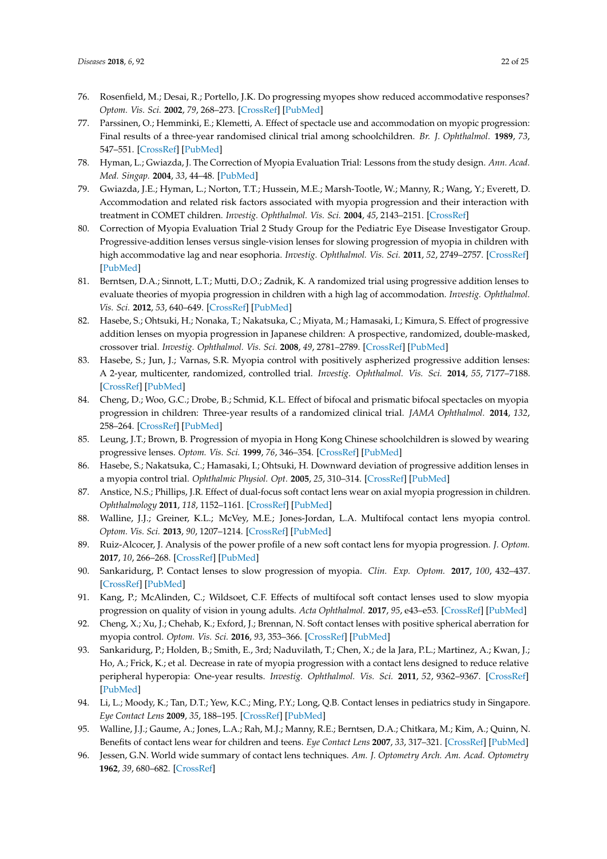- <span id="page-21-18"></span><span id="page-21-0"></span>76. Rosenfield, M.; Desai, R.; Portello, J.K. Do progressing myopes show reduced accommodative responses? *Optom. Vis. Sci.* **2002**, *79*, 268–273. [\[CrossRef\]](http://dx.doi.org/10.1097/00006324-200204000-00014) [\[PubMed\]](http://www.ncbi.nlm.nih.gov/pubmed/11999153)
- <span id="page-21-1"></span>77. Parssinen, O.; Hemminki, E.; Klemetti, A. Effect of spectacle use and accommodation on myopic progression: Final results of a three-year randomised clinical trial among schoolchildren. *Br. J. Ophthalmol.* **1989**, *73*, 547–551. [\[CrossRef\]](http://dx.doi.org/10.1136/bjo.73.7.547) [\[PubMed\]](http://www.ncbi.nlm.nih.gov/pubmed/2667638)
- <span id="page-21-2"></span>78. Hyman, L.; Gwiazda, J. The Correction of Myopia Evaluation Trial: Lessons from the study design. *Ann. Acad. Med. Singap.* **2004**, *33*, 44–48. [\[PubMed\]](http://www.ncbi.nlm.nih.gov/pubmed/15008561)
- <span id="page-21-3"></span>79. Gwiazda, J.E.; Hyman, L.; Norton, T.T.; Hussein, M.E.; Marsh-Tootle, W.; Manny, R.; Wang, Y.; Everett, D. Accommodation and related risk factors associated with myopia progression and their interaction with treatment in COMET children. *Investig. Ophthalmol. Vis. Sci.* **2004**, *45*, 2143–2151. [\[CrossRef\]](http://dx.doi.org/10.1167/iovs.03-1306)
- <span id="page-21-4"></span>80. Correction of Myopia Evaluation Trial 2 Study Group for the Pediatric Eye Disease Investigator Group. Progressive-addition lenses versus single-vision lenses for slowing progression of myopia in children with high accommodative lag and near esophoria. *Investig. Ophthalmol. Vis. Sci.* **2011**, *52*, 2749–2757. [\[CrossRef\]](http://dx.doi.org/10.1167/iovs.10-6631) [\[PubMed\]](http://www.ncbi.nlm.nih.gov/pubmed/21282579)
- <span id="page-21-5"></span>81. Berntsen, D.A.; Sinnott, L.T.; Mutti, D.O.; Zadnik, K. A randomized trial using progressive addition lenses to evaluate theories of myopia progression in children with a high lag of accommodation. *Investig. Ophthalmol. Vis. Sci.* **2012**, *53*, 640–649. [\[CrossRef\]](http://dx.doi.org/10.1167/iovs.11-7769) [\[PubMed\]](http://www.ncbi.nlm.nih.gov/pubmed/22205604)
- <span id="page-21-6"></span>82. Hasebe, S.; Ohtsuki, H.; Nonaka, T.; Nakatsuka, C.; Miyata, M.; Hamasaki, I.; Kimura, S. Effect of progressive addition lenses on myopia progression in Japanese children: A prospective, randomized, double-masked, crossover trial. *Investig. Ophthalmol. Vis. Sci.* **2008**, *49*, 2781–2789. [\[CrossRef\]](http://dx.doi.org/10.1167/iovs.07-0385) [\[PubMed\]](http://www.ncbi.nlm.nih.gov/pubmed/18579755)
- <span id="page-21-7"></span>83. Hasebe, S.; Jun, J.; Varnas, S.R. Myopia control with positively aspherized progressive addition lenses: A 2-year, multicenter, randomized, controlled trial. *Investig. Ophthalmol. Vis. Sci.* **2014**, *55*, 7177–7188. [\[CrossRef\]](http://dx.doi.org/10.1167/iovs.12-11462) [\[PubMed\]](http://www.ncbi.nlm.nih.gov/pubmed/25270192)
- <span id="page-21-8"></span>84. Cheng, D.; Woo, G.C.; Drobe, B.; Schmid, K.L. Effect of bifocal and prismatic bifocal spectacles on myopia progression in children: Three-year results of a randomized clinical trial. *JAMA Ophthalmol.* **2014**, *132*, 258–264. [\[CrossRef\]](http://dx.doi.org/10.1001/jamaophthalmol.2013.7623) [\[PubMed\]](http://www.ncbi.nlm.nih.gov/pubmed/24435660)
- <span id="page-21-9"></span>85. Leung, J.T.; Brown, B. Progression of myopia in Hong Kong Chinese schoolchildren is slowed by wearing progressive lenses. *Optom. Vis. Sci.* **1999**, *76*, 346–354. [\[CrossRef\]](http://dx.doi.org/10.1097/00006324-199906000-00013) [\[PubMed\]](http://www.ncbi.nlm.nih.gov/pubmed/10416928)
- <span id="page-21-10"></span>86. Hasebe, S.; Nakatsuka, C.; Hamasaki, I.; Ohtsuki, H. Downward deviation of progressive addition lenses in a myopia control trial. *Ophthalmic Physiol. Opt.* **2005**, *25*, 310–314. [\[CrossRef\]](http://dx.doi.org/10.1111/j.1475-1313.2005.00301.x) [\[PubMed\]](http://www.ncbi.nlm.nih.gov/pubmed/15953115)
- <span id="page-21-11"></span>87. Anstice, N.S.; Phillips, J.R. Effect of dual-focus soft contact lens wear on axial myopia progression in children. *Ophthalmology* **2011**, *118*, 1152–1161. [\[CrossRef\]](http://dx.doi.org/10.1016/j.ophtha.2010.10.035) [\[PubMed\]](http://www.ncbi.nlm.nih.gov/pubmed/21276616)
- 88. Walline, J.J.; Greiner, K.L.; McVey, M.E.; Jones-Jordan, L.A. Multifocal contact lens myopia control. *Optom. Vis. Sci.* **2013**, *90*, 1207–1214. [\[CrossRef\]](http://dx.doi.org/10.1097/OPX.0000000000000036) [\[PubMed\]](http://www.ncbi.nlm.nih.gov/pubmed/24061152)
- 89. Ruiz-Alcocer, J. Analysis of the power profile of a new soft contact lens for myopia progression. *J. Optom.* **2017**, *10*, 266–268. [\[CrossRef\]](http://dx.doi.org/10.1016/j.optom.2016.08.003) [\[PubMed\]](http://www.ncbi.nlm.nih.gov/pubmed/27866955)
- 90. Sankaridurg, P. Contact lenses to slow progression of myopia. *Clin. Exp. Optom.* **2017**, *100*, 432–437. [\[CrossRef\]](http://dx.doi.org/10.1111/cxo.12584) [\[PubMed\]](http://www.ncbi.nlm.nih.gov/pubmed/28752898)
- <span id="page-21-12"></span>91. Kang, P.; McAlinden, C.; Wildsoet, C.F. Effects of multifocal soft contact lenses used to slow myopia progression on quality of vision in young adults. *Acta Ophthalmol.* **2017**, *95*, e43–e53. [\[CrossRef\]](http://dx.doi.org/10.1111/aos.13173) [\[PubMed\]](http://www.ncbi.nlm.nih.gov/pubmed/27495880)
- <span id="page-21-13"></span>92. Cheng, X.; Xu, J.; Chehab, K.; Exford, J.; Brennan, N. Soft contact lenses with positive spherical aberration for myopia control. *Optom. Vis. Sci.* **2016**, *93*, 353–366. [\[CrossRef\]](http://dx.doi.org/10.1097/OPX.0000000000000773) [\[PubMed\]](http://www.ncbi.nlm.nih.gov/pubmed/26704144)
- <span id="page-21-14"></span>93. Sankaridurg, P.; Holden, B.; Smith, E., 3rd; Naduvilath, T.; Chen, X.; de la Jara, P.L.; Martinez, A.; Kwan, J.; Ho, A.; Frick, K.; et al. Decrease in rate of myopia progression with a contact lens designed to reduce relative peripheral hyperopia: One-year results. *Investig. Ophthalmol. Vis. Sci.* **2011**, *52*, 9362–9367. [\[CrossRef\]](http://dx.doi.org/10.1167/iovs.11-7260) [\[PubMed\]](http://www.ncbi.nlm.nih.gov/pubmed/22039230)
- <span id="page-21-15"></span>94. Li, L.; Moody, K.; Tan, D.T.; Yew, K.C.; Ming, P.Y.; Long, Q.B. Contact lenses in pediatrics study in Singapore. *Eye Contact Lens* **2009**, *35*, 188–195. [\[CrossRef\]](http://dx.doi.org/10.1097/ICL.0b013e3181abb5bb) [\[PubMed\]](http://www.ncbi.nlm.nih.gov/pubmed/19516144)
- <span id="page-21-16"></span>95. Walline, J.J.; Gaume, A.; Jones, L.A.; Rah, M.J.; Manny, R.E.; Berntsen, D.A.; Chitkara, M.; Kim, A.; Quinn, N. Benefits of contact lens wear for children and teens. *Eye Contact Lens* **2007**, *33*, 317–321. [\[CrossRef\]](http://dx.doi.org/10.1097/ICL.0b013e31804f80fb) [\[PubMed\]](http://www.ncbi.nlm.nih.gov/pubmed/17993828)
- <span id="page-21-17"></span>96. Jessen, G.N. World wide summary of contact lens techniques. *Am. J. Optometry Arch. Am. Acad. Optometry* **1962**, *39*, 680–682. [\[CrossRef\]](http://dx.doi.org/10.1097/00006324-196212000-00004)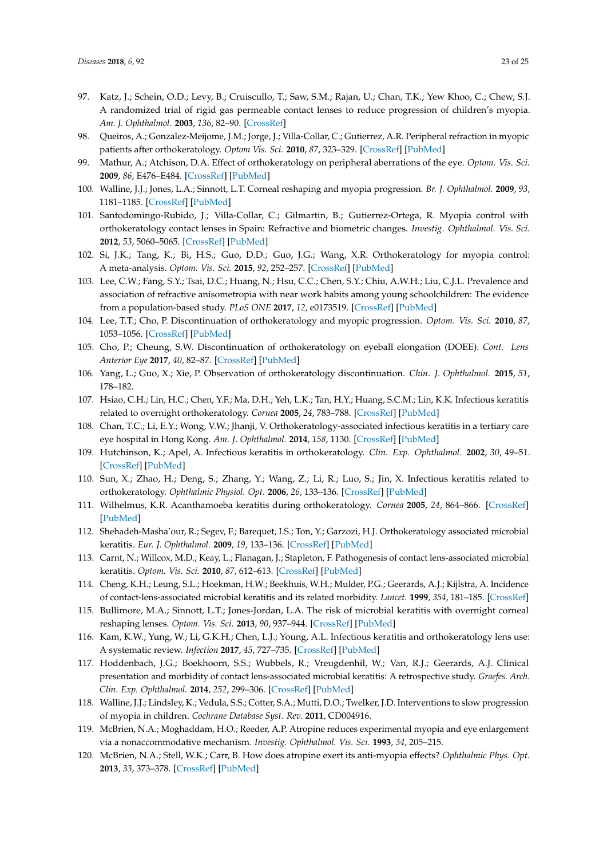- <span id="page-22-0"></span>97. Katz, J.; Schein, O.D.; Levy, B.; Cruiscullo, T.; Saw, S.M.; Rajan, U.; Chan, T.K.; Yew Khoo, C.; Chew, S.J. A randomized trial of rigid gas permeable contact lenses to reduce progression of children's myopia. *Am. J. Ophthalmol.* **2003**, *136*, 82–90. [\[CrossRef\]](http://dx.doi.org/10.1016/S0002-9394(03)00106-5)
- <span id="page-22-1"></span>98. Queiros, A.; Gonzalez-Meijome, J.M.; Jorge, J.; Villa-Collar, C.; Gutierrez, A.R. Peripheral refraction in myopic patients after orthokeratology. *Optom Vis. Sci.* **2010**, *87*, 323–329. [\[CrossRef\]](http://dx.doi.org/10.1097/OPX.0b013e3181d951f7) [\[PubMed\]](http://www.ncbi.nlm.nih.gov/pubmed/20375751)
- <span id="page-22-2"></span>99. Mathur, A.; Atchison, D.A. Effect of orthokeratology on peripheral aberrations of the eye. *Optom. Vis. Sci.* **2009**, *86*, E476–E484. [\[CrossRef\]](http://dx.doi.org/10.1097/OPX.0b013e31819fa5aa) [\[PubMed\]](http://www.ncbi.nlm.nih.gov/pubmed/19342979)
- <span id="page-22-3"></span>100. Walline, J.J.; Jones, L.A.; Sinnott, L.T. Corneal reshaping and myopia progression. *Br. J. Ophthalmol.* **2009**, *93*, 1181–1185. [\[CrossRef\]](http://dx.doi.org/10.1136/bjo.2008.151365) [\[PubMed\]](http://www.ncbi.nlm.nih.gov/pubmed/19416935)
- <span id="page-22-4"></span>101. Santodomingo-Rubido, J.; Villa-Collar, C.; Gilmartin, B.; Gutierrez-Ortega, R. Myopia control with orthokeratology contact lenses in Spain: Refractive and biometric changes. *Investig. Ophthalmol. Vis. Sci.* **2012**, *53*, 5060–5065. [\[CrossRef\]](http://dx.doi.org/10.1167/iovs.11-8005) [\[PubMed\]](http://www.ncbi.nlm.nih.gov/pubmed/22729437)
- <span id="page-22-5"></span>102. Si, J.K.; Tang, K.; Bi, H.S.; Guo, D.D.; Guo, J.G.; Wang, X.R. Orthokeratology for myopia control: A meta-analysis. *Optom. Vis. Sci.* **2015**, *92*, 252–257. [\[CrossRef\]](http://dx.doi.org/10.1097/OPX.0000000000000505) [\[PubMed\]](http://www.ncbi.nlm.nih.gov/pubmed/25599338)
- <span id="page-22-6"></span>103. Lee, C.W.; Fang, S.Y.; Tsai, D.C.; Huang, N.; Hsu, C.C.; Chen, S.Y.; Chiu, A.W.H.; Liu, C.J.L. Prevalence and association of refractive anisometropia with near work habits among young schoolchildren: The evidence from a population-based study. *PLoS ONE* **2017**, *12*, e0173519. [\[CrossRef\]](http://dx.doi.org/10.1371/journal.pone.0173519) [\[PubMed\]](http://www.ncbi.nlm.nih.gov/pubmed/28273153)
- <span id="page-22-7"></span>104. Lee, T.T.; Cho, P. Discontinuation of orthokeratology and myopic progression. *Optom. Vis. Sci.* **2010**, *87*, 1053–1056. [\[CrossRef\]](http://dx.doi.org/10.1097/OPX.0b013e3181fd5efc) [\[PubMed\]](http://www.ncbi.nlm.nih.gov/pubmed/21037497)
- <span id="page-22-8"></span>105. Cho, P.; Cheung, S.W. Discontinuation of orthokeratology on eyeball elongation (DOEE). *Cont. Lens Anterior Eye* **2017**, *40*, 82–87. [\[CrossRef\]](http://dx.doi.org/10.1016/j.clae.2016.12.002) [\[PubMed\]](http://www.ncbi.nlm.nih.gov/pubmed/28038841)
- <span id="page-22-9"></span>106. Yang, L.; Guo, X.; Xie, P. Observation of orthokeratology discontinuation. *Chin. J. Ophthalmol.* **2015**, *51*, 178–182.
- <span id="page-22-10"></span>107. Hsiao, C.H.; Lin, H.C.; Chen, Y.F.; Ma, D.H.; Yeh, L.K.; Tan, H.Y.; Huang, S.C.M.; Lin, K.K. Infectious keratitis related to overnight orthokeratology. *Cornea* **2005**, *24*, 783–788. [\[CrossRef\]](http://dx.doi.org/10.1097/01.ico.0000175412.13612.8a) [\[PubMed\]](http://www.ncbi.nlm.nih.gov/pubmed/16160492)
- 108. Chan, T.C.; Li, E.Y.; Wong, V.W.; Jhanji, V. Orthokeratology-associated infectious keratitis in a tertiary care eye hospital in Hong Kong. *Am. J. Ophthalmol.* **2014**, *158*, 1130. [\[CrossRef\]](http://dx.doi.org/10.1016/j.ajo.2014.08.026) [\[PubMed\]](http://www.ncbi.nlm.nih.gov/pubmed/25158307)
- 109. Hutchinson, K.; Apel, A. Infectious keratitis in orthokeratology. *Clin. Exp. Ophthalmol.* **2002**, *30*, 49–51. [\[CrossRef\]](http://dx.doi.org/10.1046/j.1442-9071.2002.00483.x) [\[PubMed\]](http://www.ncbi.nlm.nih.gov/pubmed/11885797)
- 110. Sun, X.; Zhao, H.; Deng, S.; Zhang, Y.; Wang, Z.; Li, R.; Luo, S.; Jin, X. Infectious keratitis related to orthokeratology. *Ophthalmic Physiol. Opt.* **2006**, *26*, 133–136. [\[CrossRef\]](http://dx.doi.org/10.1111/j.1475-1313.2006.00381.x) [\[PubMed\]](http://www.ncbi.nlm.nih.gov/pubmed/16460313)
- 111. Wilhelmus, K.R. Acanthamoeba keratitis during orthokeratology. *Cornea* **2005**, *24*, 864–866. [\[CrossRef\]](http://dx.doi.org/10.1097/01.ico.0000175410.28859.bd) [\[PubMed\]](http://www.ncbi.nlm.nih.gov/pubmed/16160506)
- <span id="page-22-11"></span>112. Shehadeh-Masha'our, R.; Segev, F.; Barequet, I.S.; Ton, Y.; Garzozi, H.J. Orthokeratology associated microbial keratitis. *Eur. J. Ophthalmol.* **2009**, *19*, 133–136. [\[CrossRef\]](http://dx.doi.org/10.1177/112067210901900120) [\[PubMed\]](http://www.ncbi.nlm.nih.gov/pubmed/19123161)
- <span id="page-22-12"></span>113. Carnt, N.; Willcox, M.D.; Keay, L.; Flanagan, J.; Stapleton, F. Pathogenesis of contact lens-associated microbial keratitis. *Optom. Vis. Sci.* **2010**, *87*, 612–613. [\[CrossRef\]](http://dx.doi.org/10.1097/OPX.0b013e3181eedde2) [\[PubMed\]](http://www.ncbi.nlm.nih.gov/pubmed/20683311)
- <span id="page-22-13"></span>114. Cheng, K.H.; Leung, S.L.; Hoekman, H.W.; Beekhuis, W.H.; Mulder, P.G.; Geerards, A.J.; Kijlstra, A. Incidence of contact-lens-associated microbial keratitis and its related morbidity. *Lancet.* **1999**, *354*, 181–185. [\[CrossRef\]](http://dx.doi.org/10.1016/S0140-6736(98)09385-4)
- <span id="page-22-14"></span>115. Bullimore, M.A.; Sinnott, L.T.; Jones-Jordan, L.A. The risk of microbial keratitis with overnight corneal reshaping lenses. *Optom. Vis. Sci.* **2013**, *90*, 937–944. [\[CrossRef\]](http://dx.doi.org/10.1097/OPX.0b013e31829cac92) [\[PubMed\]](http://www.ncbi.nlm.nih.gov/pubmed/23892491)
- <span id="page-22-15"></span>116. Kam, K.W.; Yung, W.; Li, G.K.H.; Chen, L.J.; Young, A.L. Infectious keratitis and orthokeratology lens use: A systematic review. *Infection* **2017**, *45*, 727–735. [\[CrossRef\]](http://dx.doi.org/10.1007/s15010-017-1023-2) [\[PubMed\]](http://www.ncbi.nlm.nih.gov/pubmed/28534320)
- <span id="page-22-16"></span>117. Hoddenbach, J.G.; Boekhoorn, S.S.; Wubbels, R.; Vreugdenhil, W.; Van, R.J.; Geerards, A.J. Clinical presentation and morbidity of contact lens-associated microbial keratitis: A retrospective study. *Graefes. Arch. Clin. Exp. Ophthalmol.* **2014**, *252*, 299–306. [\[CrossRef\]](http://dx.doi.org/10.1007/s00417-013-2514-1) [\[PubMed\]](http://www.ncbi.nlm.nih.gov/pubmed/24281783)
- <span id="page-22-17"></span>118. Walline, J.J.; Lindsley, K.; Vedula, S.S.; Cotter, S.A.; Mutti, D.O.; Twelker, J.D. Interventions to slow progression of myopia in children. *Cochrane Database Syst. Rev.* **2011**, CD004916.
- <span id="page-22-18"></span>119. McBrien, N.A.; Moghaddam, H.O.; Reeder, A.P. Atropine reduces experimental myopia and eye enlargement via a nonaccommodative mechanism. *Investig. Ophthalmol. Vis. Sci.* **1993**, *34*, 205–215.
- <span id="page-22-19"></span>120. McBrien, N.A.; Stell, W.K.; Carr, B. How does atropine exert its anti-myopia effects? *Ophthalmic Phys. Opt.* **2013**, *33*, 373–378. [\[CrossRef\]](http://dx.doi.org/10.1111/opo.12052) [\[PubMed\]](http://www.ncbi.nlm.nih.gov/pubmed/23662969)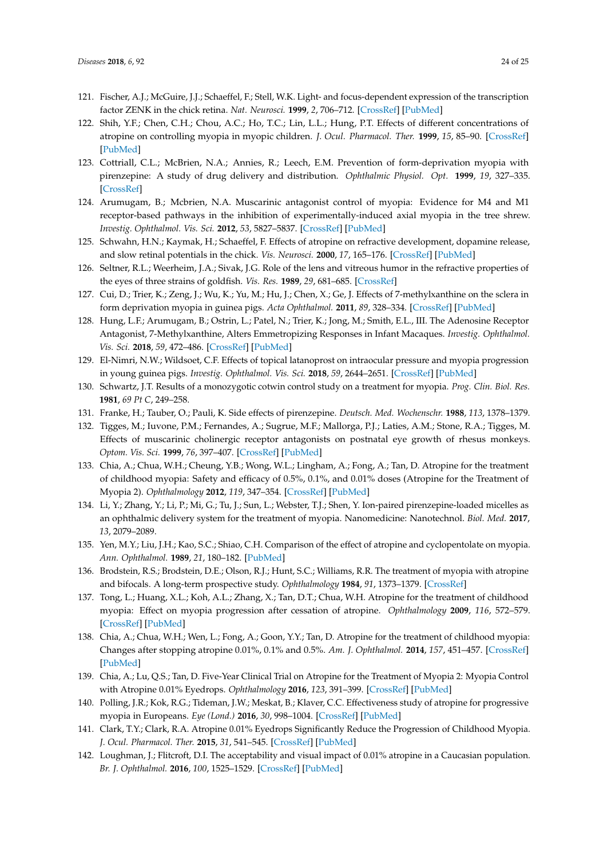- <span id="page-23-22"></span><span id="page-23-0"></span>121. Fischer, A.J.; McGuire, J.J.; Schaeffel, F.; Stell, W.K. Light- and focus-dependent expression of the transcription factor ZENK in the chick retina. *Nat. Neurosci.* **1999**, *2*, 706–712. [\[CrossRef\]](http://dx.doi.org/10.1038/11167) [\[PubMed\]](http://www.ncbi.nlm.nih.gov/pubmed/10412059)
- <span id="page-23-1"></span>122. Shih, Y.F.; Chen, C.H.; Chou, A.C.; Ho, T.C.; Lin, L.L.; Hung, P.T. Effects of different concentrations of atropine on controlling myopia in myopic children. *J. Ocul. Pharmacol. Ther.* **1999**, *15*, 85–90. [\[CrossRef\]](http://dx.doi.org/10.1089/jop.1999.15.85) [\[PubMed\]](http://www.ncbi.nlm.nih.gov/pubmed/10048351)
- <span id="page-23-2"></span>123. Cottriall, C.L.; McBrien, N.A.; Annies, R.; Leech, E.M. Prevention of form-deprivation myopia with pirenzepine: A study of drug delivery and distribution. *Ophthalmic Physiol. Opt.* **1999**, *19*, 327–335. [\[CrossRef\]](http://dx.doi.org/10.1016/S0275-5408(98)00079-9)
- <span id="page-23-3"></span>124. Arumugam, B.; Mcbrien, N.A. Muscarinic antagonist control of myopia: Evidence for M4 and M1 receptor-based pathways in the inhibition of experimentally-induced axial myopia in the tree shrew. *Investig. Ophthalmol. Vis. Sci.* **2012**, *53*, 5827–5837. [\[CrossRef\]](http://dx.doi.org/10.1167/iovs.12-9943) [\[PubMed\]](http://www.ncbi.nlm.nih.gov/pubmed/22836762)
- <span id="page-23-4"></span>125. Schwahn, H.N.; Kaymak, H.; Schaeffel, F. Effects of atropine on refractive development, dopamine release, and slow retinal potentials in the chick. *Vis. Neurosci.* **2000**, *17*, 165–176. [\[CrossRef\]](http://dx.doi.org/10.1017/S0952523800171184) [\[PubMed\]](http://www.ncbi.nlm.nih.gov/pubmed/10824671)
- <span id="page-23-5"></span>126. Seltner, R.L.; Weerheim, J.A.; Sivak, J.G. Role of the lens and vitreous humor in the refractive properties of the eyes of three strains of goldfish. *Vis. Res.* **1989**, *29*, 681–685. [\[CrossRef\]](http://dx.doi.org/10.1016/0042-6989(89)90030-8)
- <span id="page-23-6"></span>127. Cui, D.; Trier, K.; Zeng, J.; Wu, K.; Yu, M.; Hu, J.; Chen, X.; Ge, J. Effects of 7-methylxanthine on the sclera in form deprivation myopia in guinea pigs. *Acta Ophthalmol.* **2011**, *89*, 328–334. [\[CrossRef\]](http://dx.doi.org/10.1111/j.1755-3768.2009.01688.x) [\[PubMed\]](http://www.ncbi.nlm.nih.gov/pubmed/19860777)
- <span id="page-23-7"></span>128. Hung, L.F.; Arumugam, B.; Ostrin, L.; Patel, N.; Trier, K.; Jong, M.; Smith, E.L., III. The Adenosine Receptor Antagonist, 7-Methylxanthine, Alters Emmetropizing Responses in Infant Macaques. *Investig. Ophthalmol. Vis. Sci.* **2018**, *59*, 472–486. [\[CrossRef\]](http://dx.doi.org/10.1167/iovs.17-22337) [\[PubMed\]](http://www.ncbi.nlm.nih.gov/pubmed/29368006)
- <span id="page-23-8"></span>129. El-Nimri, N.W.; Wildsoet, C.F. Effects of topical latanoprost on intraocular pressure and myopia progression in young guinea pigs. *Investig. Ophthalmol. Vis. Sci.* **2018**, *59*, 2644–2651. [\[CrossRef\]](http://dx.doi.org/10.1167/iovs.17-22890) [\[PubMed\]](http://www.ncbi.nlm.nih.gov/pubmed/29847673)
- <span id="page-23-9"></span>130. Schwartz, J.T. Results of a monozygotic cotwin control study on a treatment for myopia. *Prog. Clin. Biol. Res.* **1981**, *69 Pt C*, 249–258.
- <span id="page-23-10"></span>131. Franke, H.; Tauber, O.; Pauli, K. Side effects of pirenzepine. *Deutsch. Med. Wochenschr.* **1988**, *113*, 1378–1379.
- <span id="page-23-11"></span>132. Tigges, M.; Iuvone, P.M.; Fernandes, A.; Sugrue, M.F.; Mallorga, P.J.; Laties, A.M.; Stone, R.A.; Tigges, M. Effects of muscarinic cholinergic receptor antagonists on postnatal eye growth of rhesus monkeys. *Optom. Vis. Sci.* **1999**, *76*, 397–407. [\[CrossRef\]](http://dx.doi.org/10.1097/00006324-199906000-00020) [\[PubMed\]](http://www.ncbi.nlm.nih.gov/pubmed/10416935)
- <span id="page-23-12"></span>133. Chia, A.; Chua, W.H.; Cheung, Y.B.; Wong, W.L.; Lingham, A.; Fong, A.; Tan, D. Atropine for the treatment of childhood myopia: Safety and efficacy of 0.5%, 0.1%, and 0.01% doses (Atropine for the Treatment of Myopia 2). *Ophthalmology* **2012**, *119*, 347–354. [\[CrossRef\]](http://dx.doi.org/10.1016/j.ophtha.2011.07.031) [\[PubMed\]](http://www.ncbi.nlm.nih.gov/pubmed/21963266)
- <span id="page-23-13"></span>134. Li, Y.; Zhang, Y.; Li, P.; Mi, G.; Tu, J.; Sun, L.; Webster, T.J.; Shen, Y. Ion-paired pirenzepine-loaded micelles as an ophthalmic delivery system for the treatment of myopia. Nanomedicine: Nanotechnol. *Biol. Med.* **2017**, *13*, 2079–2089.
- <span id="page-23-14"></span>135. Yen, M.Y.; Liu, J.H.; Kao, S.C.; Shiao, C.H. Comparison of the effect of atropine and cyclopentolate on myopia. *Ann. Ophthalmol.* **1989**, *21*, 180–182. [\[PubMed\]](http://www.ncbi.nlm.nih.gov/pubmed/2742290)
- <span id="page-23-15"></span>136. Brodstein, R.S.; Brodstein, D.E.; Olson, R.J.; Hunt, S.C.; Williams, R.R. The treatment of myopia with atropine and bifocals. A long-term prospective study. *Ophthalmology* **1984**, *91*, 1373–1379. [\[CrossRef\]](http://dx.doi.org/10.1016/S0161-6420(84)34138-0)
- <span id="page-23-16"></span>137. Tong, L.; Huang, X.L.; Koh, A.L.; Zhang, X.; Tan, D.T.; Chua, W.H. Atropine for the treatment of childhood myopia: Effect on myopia progression after cessation of atropine. *Ophthalmology* **2009**, *116*, 572–579. [\[CrossRef\]](http://dx.doi.org/10.1016/j.ophtha.2008.10.020) [\[PubMed\]](http://www.ncbi.nlm.nih.gov/pubmed/19167081)
- <span id="page-23-17"></span>138. Chia, A.; Chua, W.H.; Wen, L.; Fong, A.; Goon, Y.Y.; Tan, D. Atropine for the treatment of childhood myopia: Changes after stopping atropine 0.01%, 0.1% and 0.5%. *Am. J. Ophthalmol.* **2014**, *157*, 451–457. [\[CrossRef\]](http://dx.doi.org/10.1016/j.ajo.2013.09.020) [\[PubMed\]](http://www.ncbi.nlm.nih.gov/pubmed/24315293)
- <span id="page-23-18"></span>139. Chia, A.; Lu, Q.S.; Tan, D. Five-Year Clinical Trial on Atropine for the Treatment of Myopia 2: Myopia Control with Atropine 0.01% Eyedrops. *Ophthalmology* **2016**, *123*, 391–399. [\[CrossRef\]](http://dx.doi.org/10.1016/j.ophtha.2015.07.004) [\[PubMed\]](http://www.ncbi.nlm.nih.gov/pubmed/26271839)
- <span id="page-23-19"></span>140. Polling, J.R.; Kok, R.G.; Tideman, J.W.; Meskat, B.; Klaver, C.C. Effectiveness study of atropine for progressive myopia in Europeans. *Eye (Lond.)* **2016**, *30*, 998–1004. [\[CrossRef\]](http://dx.doi.org/10.1038/eye.2016.78) [\[PubMed\]](http://www.ncbi.nlm.nih.gov/pubmed/27101751)
- <span id="page-23-20"></span>141. Clark, T.Y.; Clark, R.A. Atropine 0.01% Eyedrops Significantly Reduce the Progression of Childhood Myopia. *J. Ocul. Pharmacol. Ther.* **2015**, *31*, 541–545. [\[CrossRef\]](http://dx.doi.org/10.1089/jop.2015.0043) [\[PubMed\]](http://www.ncbi.nlm.nih.gov/pubmed/26218150)
- <span id="page-23-21"></span>142. Loughman, J.; Flitcroft, D.I. The acceptability and visual impact of 0.01% atropine in a Caucasian population. *Br. J. Ophthalmol.* **2016**, *100*, 1525–1529. [\[CrossRef\]](http://dx.doi.org/10.1136/bjophthalmol-2015-307861) [\[PubMed\]](http://www.ncbi.nlm.nih.gov/pubmed/26903521)